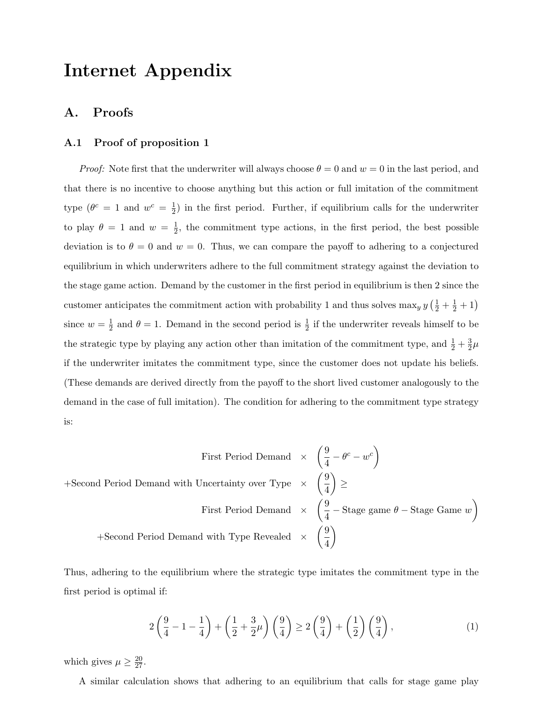# Internet Appendix

# A. Proofs

# A.1 Proof of proposition 1

*Proof:* Note first that the underwriter will always choose  $\theta = 0$  and  $w = 0$  in the last period, and that there is no incentive to choose anything but this action or full imitation of the commitment type  $(\theta^c = 1 \text{ and } w^c = \frac{1}{2})$  $\frac{1}{2}$ ) in the first period. Further, if equilibrium calls for the underwriter to play  $\theta = 1$  and  $w = \frac{1}{2}$  $\frac{1}{2}$ , the commitment type actions, in the first period, the best possible deviation is to  $\theta = 0$  and  $w = 0$ . Thus, we can compare the payoff to adhering to a conjectured equilibrium in which underwriters adhere to the full commitment strategy against the deviation to the stage game action. Demand by the customer in the first period in equilibrium is then 2 since the customer anticipates the commitment action with probability 1 and thus solves  $\max_y y \left(\frac{1}{2} + \frac{1}{2} + 1\right)$ since  $w=\frac{1}{2}$  $\frac{1}{2}$  and  $\theta = 1$ . Demand in the second period is  $\frac{1}{2}$  if the underwriter reveals himself to be the strategic type by playing any action other than imitation of the commitment type, and  $\frac{1}{2} + \frac{3}{2}$  $rac{3}{2}\mu$ if the underwriter imitates the commitment type, since the customer does not update his beliefs. (These demands are derived directly from the payoff to the short lived customer analogously to the demand in the case of full imitation). The condition for adhering to the commitment type strategy is:

First Period Demand 
$$
\times
$$
  $\left(\frac{9}{4} - \theta^c - w^c\right)$   
+Second Period Demand with Uncertainty over Type  $\times$   $\left(\frac{9}{4}\right) \ge$   
First Period Demand  $\times$   $\left(\frac{9}{4} - \text{Stage game }\theta - \text{Stage Game }w\right)$   
+Second Period Demand with Type Revealed  $\times$   $\left(\frac{9}{4}\right)$ 

Thus, adhering to the equilibrium where the strategic type imitates the commitment type in the first period is optimal if:

$$
2\left(\frac{9}{4} - 1 - \frac{1}{4}\right) + \left(\frac{1}{2} + \frac{3}{2}\mu\right)\left(\frac{9}{4}\right) \ge 2\left(\frac{9}{4}\right) + \left(\frac{1}{2}\right)\left(\frac{9}{4}\right),\tag{1}
$$

which gives  $\mu \geq \frac{20}{27}$ .

A similar calculation shows that adhering to an equilibrium that calls for stage game play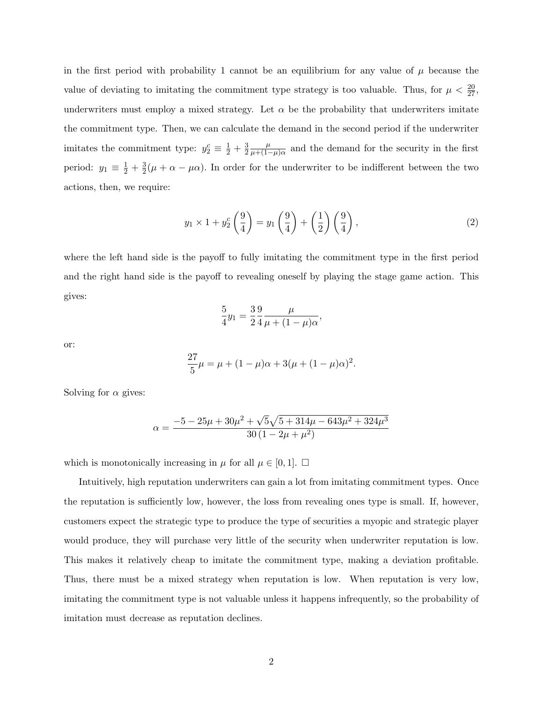in the first period with probability 1 cannot be an equilibrium for any value of  $\mu$  because the value of deviating to imitating the commitment type strategy is too valuable. Thus, for  $\mu < \frac{20}{27}$ , underwriters must employ a mixed strategy. Let  $\alpha$  be the probability that underwriters imitate the commitment type. Then, we can calculate the demand in the second period if the underwriter imitates the commitment type:  $y_2^c \equiv \frac{1}{2} + \frac{3}{2}$ 2  $\mu$  $\frac{\mu}{\mu+(1-\mu)\alpha}$  and the demand for the security in the first period:  $y_1 \equiv \frac{1}{2} + \frac{3}{2}$  $\frac{3}{2}(\mu + \alpha - \mu \alpha)$ . In order for the underwriter to be indifferent between the two actions, then, we require:

$$
y_1 \times 1 + y_2^c \left(\frac{9}{4}\right) = y_1 \left(\frac{9}{4}\right) + \left(\frac{1}{2}\right) \left(\frac{9}{4}\right),\tag{2}
$$

where the left hand side is the payoff to fully imitating the commitment type in the first period and the right hand side is the payoff to revealing oneself by playing the stage game action. This gives:

$$
\frac{5}{4}y_1 = \frac{3}{2}\frac{9}{4}\frac{\mu}{\mu + (1-\mu)\alpha},
$$

or:

$$
\frac{27}{5}\mu = \mu + (1 - \mu)\alpha + 3(\mu + (1 - \mu)\alpha)^2.
$$

Solving for  $\alpha$  gives:

$$
\alpha = \frac{-5 - 25\mu + 30\mu^2 + \sqrt{5}\sqrt{5 + 314\mu - 643\mu^2 + 324\mu^3}}{30(1 - 2\mu + \mu^2)}
$$

which is monotonically increasing in  $\mu$  for all  $\mu \in [0,1]$ .  $\Box$ 

Intuitively, high reputation underwriters can gain a lot from imitating commitment types. Once the reputation is sufficiently low, however, the loss from revealing ones type is small. If, however, customers expect the strategic type to produce the type of securities a myopic and strategic player would produce, they will purchase very little of the security when underwriter reputation is low. This makes it relatively cheap to imitate the commitment type, making a deviation profitable. Thus, there must be a mixed strategy when reputation is low. When reputation is very low, imitating the commitment type is not valuable unless it happens infrequently, so the probability of imitation must decrease as reputation declines.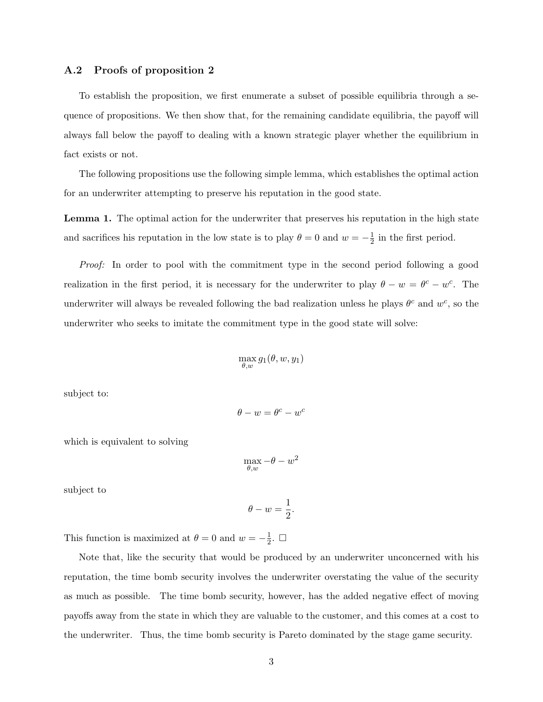### A.2 Proofs of proposition 2

To establish the proposition, we first enumerate a subset of possible equilibria through a sequence of propositions. We then show that, for the remaining candidate equilibria, the payoff will always fall below the payoff to dealing with a known strategic player whether the equilibrium in fact exists or not.

The following propositions use the following simple lemma, which establishes the optimal action for an underwriter attempting to preserve his reputation in the good state.

Lemma 1. The optimal action for the underwriter that preserves his reputation in the high state and sacrifices his reputation in the low state is to play  $\theta = 0$  and  $w = -\frac{1}{2}$  $\frac{1}{2}$  in the first period.

Proof: In order to pool with the commitment type in the second period following a good realization in the first period, it is necessary for the underwriter to play  $\theta - w = \theta^c - w^c$ . The underwriter will always be revealed following the bad realization unless he plays  $\theta^c$  and  $w^c$ , so the underwriter who seeks to imitate the commitment type in the good state will solve:

$$
\max_{\theta,w} g_1(\theta,w,y_1)
$$

subject to:

$$
\theta - w = \theta^c - w^c
$$

which is equivalent to solving

$$
\max_{\theta, w} -\theta - w^2
$$

subject to

$$
\theta - w = \frac{1}{2}.
$$

This function is maximized at  $\theta = 0$  and  $w = -\frac{1}{2}$  $\frac{1}{2}$ .  $\Box$ 

Note that, like the security that would be produced by an underwriter unconcerned with his reputation, the time bomb security involves the underwriter overstating the value of the security as much as possible. The time bomb security, however, has the added negative effect of moving payoffs away from the state in which they are valuable to the customer, and this comes at a cost to the underwriter. Thus, the time bomb security is Pareto dominated by the stage game security.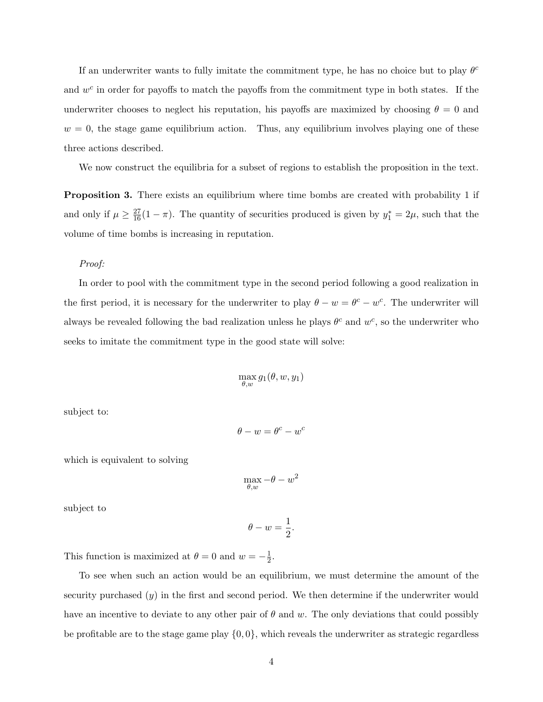If an underwriter wants to fully imitate the commitment type, he has no choice but to play  $\theta^c$ and  $w^c$  in order for payoffs to match the payoffs from the commitment type in both states. If the underwriter chooses to neglect his reputation, his payoffs are maximized by choosing  $\theta = 0$  and  $w = 0$ , the stage game equilibrium action. Thus, any equilibrium involves playing one of these three actions described.

We now construct the equilibria for a subset of regions to establish the proposition in the text.

**Proposition 3.** There exists an equilibrium where time bombs are created with probability 1 if and only if  $\mu \geq \frac{27}{16}(1-\pi)$ . The quantity of securities produced is given by  $y_1^* = 2\mu$ , such that the volume of time bombs is increasing in reputation.

### Proof:

In order to pool with the commitment type in the second period following a good realization in the first period, it is necessary for the underwriter to play  $\theta - w = \theta^c - w^c$ . The underwriter will always be revealed following the bad realization unless he plays  $\theta^c$  and  $w^c$ , so the underwriter who seeks to imitate the commitment type in the good state will solve:

$$
\max_{\theta, w} g_1(\theta, w, y_1)
$$

subject to:

$$
\theta - w = \theta^c - w^c
$$

which is equivalent to solving

$$
\max_{\theta, w} -\theta - w^2
$$

subject to

$$
\theta - w = \frac{1}{2}.
$$

This function is maximized at  $\theta = 0$  and  $w = -\frac{1}{2}$  $\frac{1}{2}$ .

To see when such an action would be an equilibrium, we must determine the amount of the security purchased  $(y)$  in the first and second period. We then determine if the underwriter would have an incentive to deviate to any other pair of  $\theta$  and w. The only deviations that could possibly be profitable are to the stage game play  $\{0, 0\}$ , which reveals the underwriter as strategic regardless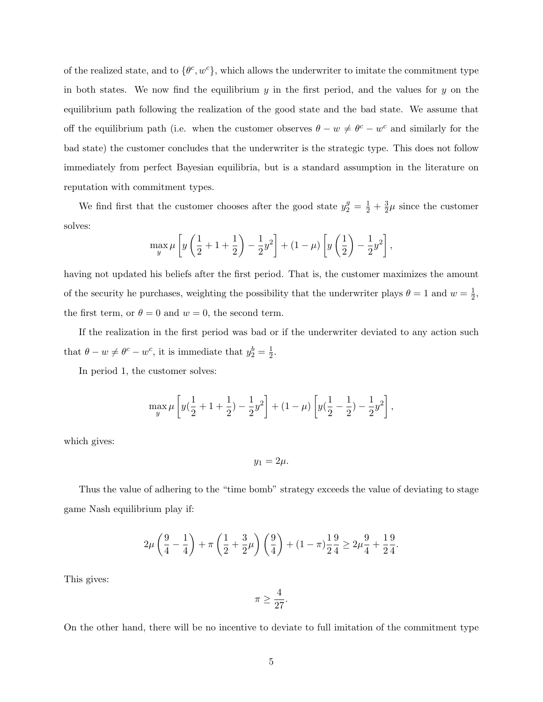of the realized state, and to  $\{\theta^c, w^c\}$ , which allows the underwriter to imitate the commitment type in both states. We now find the equilibrium  $y$  in the first period, and the values for  $y$  on the equilibrium path following the realization of the good state and the bad state. We assume that off the equilibrium path (i.e. when the customer observes  $\theta - w \neq \theta^c - w^c$  and similarly for the bad state) the customer concludes that the underwriter is the strategic type. This does not follow immediately from perfect Bayesian equilibria, but is a standard assumption in the literature on reputation with commitment types.

We find first that the customer chooses after the good state  $y_2^g = \frac{1}{2} + \frac{3}{2}$  $\frac{3}{2}\mu$  since the customer solves:

$$
\max_{y} \mu \left[ y \left( \frac{1}{2} + 1 + \frac{1}{2} \right) - \frac{1}{2} y^2 \right] + (1 - \mu) \left[ y \left( \frac{1}{2} \right) - \frac{1}{2} y^2 \right],
$$

having not updated his beliefs after the first period. That is, the customer maximizes the amount of the security he purchases, weighting the possibility that the underwriter plays  $\theta = 1$  and  $w = \frac{1}{2}$  $\frac{1}{2}$ the first term, or  $\theta = 0$  and  $w = 0$ , the second term.

If the realization in the first period was bad or if the underwriter deviated to any action such that  $\theta - w \neq \theta^c - w^c$ , it is immediate that  $y_2^b = \frac{1}{2}$  $\frac{1}{2}$ .

In period 1, the customer solves:

$$
\max_{y} \mu \left[ y(\frac{1}{2} + 1 + \frac{1}{2}) - \frac{1}{2}y^2 \right] + (1 - \mu) \left[ y(\frac{1}{2} - \frac{1}{2}) - \frac{1}{2}y^2 \right],
$$

which gives:

 $y_1 = 2\mu$ .

Thus the value of adhering to the "time bomb" strategy exceeds the value of deviating to stage game Nash equilibrium play if:

$$
2\mu \left(\frac{9}{4} - \frac{1}{4}\right) + \pi \left(\frac{1}{2} + \frac{3}{2}\mu\right) \left(\frac{9}{4}\right) + (1 - \pi) \frac{19}{24} \ge 2\mu \frac{9}{4} + \frac{19}{24}.
$$

This gives:

$$
\pi \ge \frac{4}{27}.
$$

On the other hand, there will be no incentive to deviate to full imitation of the commitment type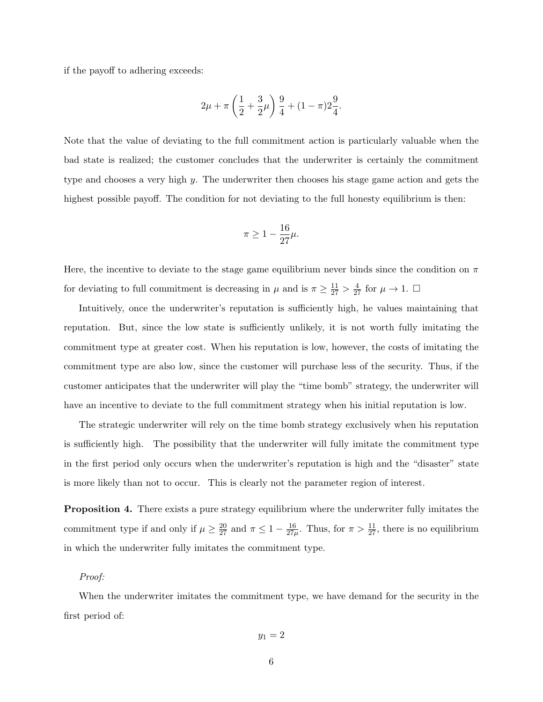if the payoff to adhering exceeds:

$$
2\mu + \pi \left(\frac{1}{2} + \frac{3}{2}\mu\right) \frac{9}{4} + (1 - \pi)2\frac{9}{4}.
$$

Note that the value of deviating to the full commitment action is particularly valuable when the bad state is realized; the customer concludes that the underwriter is certainly the commitment type and chooses a very high y. The underwriter then chooses his stage game action and gets the highest possible payoff. The condition for not deviating to the full honesty equilibrium is then:

$$
\pi \geq 1 - \frac{16}{27}\mu.
$$

Here, the incentive to deviate to the stage game equilibrium never binds since the condition on  $\pi$ for deviating to full commitment is decreasing in  $\mu$  and is  $\pi \ge \frac{11}{27} > \frac{4}{27}$  for  $\mu \to 1$ .  $\Box$ 

Intuitively, once the underwriter's reputation is sufficiently high, he values maintaining that reputation. But, since the low state is sufficiently unlikely, it is not worth fully imitating the commitment type at greater cost. When his reputation is low, however, the costs of imitating the commitment type are also low, since the customer will purchase less of the security. Thus, if the customer anticipates that the underwriter will play the "time bomb" strategy, the underwriter will have an incentive to deviate to the full commitment strategy when his initial reputation is low.

The strategic underwriter will rely on the time bomb strategy exclusively when his reputation is sufficiently high. The possibility that the underwriter will fully imitate the commitment type in the first period only occurs when the underwriter's reputation is high and the "disaster" state is more likely than not to occur. This is clearly not the parameter region of interest.

**Proposition 4.** There exists a pure strategy equilibrium where the underwriter fully imitates the commitment type if and only if  $\mu \geq \frac{20}{27}$  and  $\pi \leq 1 - \frac{16}{27\mu}$  $\frac{16}{27\mu}$ . Thus, for  $\pi > \frac{11}{27}$ , there is no equilibrium in which the underwriter fully imitates the commitment type.

### Proof:

When the underwriter imitates the commitment type, we have demand for the security in the first period of:

$$
y_1 = 2
$$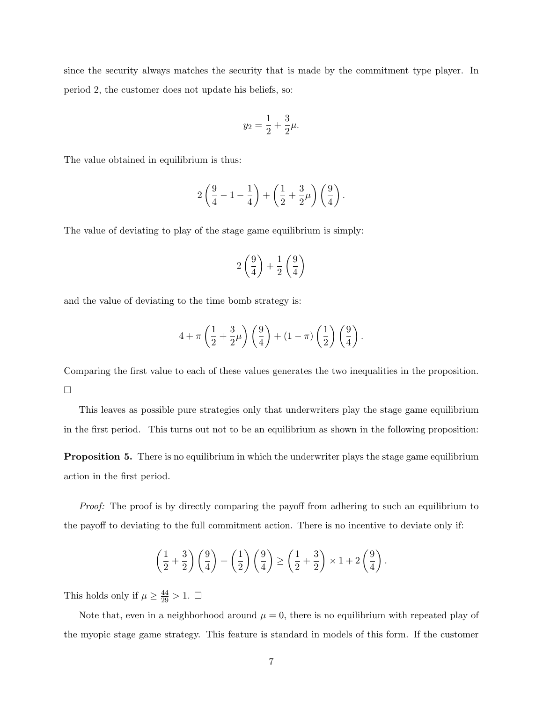since the security always matches the security that is made by the commitment type player. In period 2, the customer does not update his beliefs, so:

$$
y_2 = \frac{1}{2} + \frac{3}{2}\mu.
$$

The value obtained in equilibrium is thus:

$$
2\left(\frac{9}{4} - 1 - \frac{1}{4}\right) + \left(\frac{1}{2} + \frac{3}{2}\mu\right)\left(\frac{9}{4}\right).
$$

The value of deviating to play of the stage game equilibrium is simply:

$$
2\left(\frac{9}{4}\right) + \frac{1}{2}\left(\frac{9}{4}\right)
$$

and the value of deviating to the time bomb strategy is:

$$
4+\pi\left(\frac{1}{2}+\frac{3}{2}\mu\right)\left(\frac{9}{4}\right)+(1-\pi)\left(\frac{1}{2}\right)\left(\frac{9}{4}\right).
$$

Comparing the first value to each of these values generates the two inequalities in the proposition.  $\Box$ 

This leaves as possible pure strategies only that underwriters play the stage game equilibrium in the first period. This turns out not to be an equilibrium as shown in the following proposition:

**Proposition 5.** There is no equilibrium in which the underwriter plays the stage game equilibrium action in the first period.

Proof: The proof is by directly comparing the payoff from adhering to such an equilibrium to the payoff to deviating to the full commitment action. There is no incentive to deviate only if:

$$
\left(\frac{1}{2} + \frac{3}{2}\right)\left(\frac{9}{4}\right) + \left(\frac{1}{2}\right)\left(\frac{9}{4}\right) \ge \left(\frac{1}{2} + \frac{3}{2}\right) \times 1 + 2\left(\frac{9}{4}\right).
$$

This holds only if  $\mu \geq \frac{44}{29} > 1$ .  $\Box$ 

Note that, even in a neighborhood around  $\mu = 0$ , there is no equilibrium with repeated play of the myopic stage game strategy. This feature is standard in models of this form. If the customer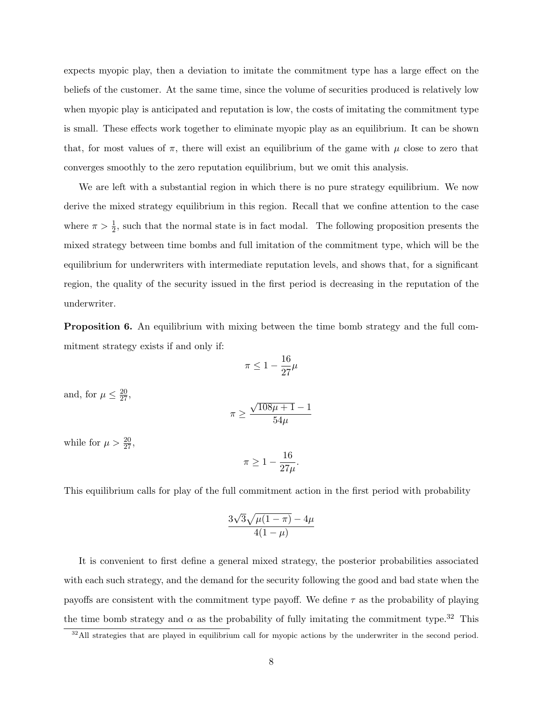expects myopic play, then a deviation to imitate the commitment type has a large effect on the beliefs of the customer. At the same time, since the volume of securities produced is relatively low when myopic play is anticipated and reputation is low, the costs of imitating the commitment type is small. These effects work together to eliminate myopic play as an equilibrium. It can be shown that, for most values of  $\pi$ , there will exist an equilibrium of the game with  $\mu$  close to zero that converges smoothly to the zero reputation equilibrium, but we omit this analysis.

We are left with a substantial region in which there is no pure strategy equilibrium. We now derive the mixed strategy equilibrium in this region. Recall that we confine attention to the case where  $\pi > \frac{1}{2}$ , such that the normal state is in fact modal. The following proposition presents the mixed strategy between time bombs and full imitation of the commitment type, which will be the equilibrium for underwriters with intermediate reputation levels, and shows that, for a significant region, the quality of the security issued in the first period is decreasing in the reputation of the underwriter.

Proposition 6. An equilibrium with mixing between the time bomb strategy and the full commitment strategy exists if and only if:

$$
\pi \leq 1 - \frac{16}{27} \mu
$$

and, for  $\mu \leq \frac{20}{27}$ ,

$$
\pi \ge \frac{\sqrt{108\mu + 1} - 1}{54\mu}
$$

while for  $\mu > \frac{20}{27}$ ,

$$
\pi \geq 1 - \frac{16}{27\mu}.
$$

This equilibrium calls for play of the full commitment action in the first period with probability

$$
\frac{3\sqrt{3}\sqrt{\mu(1-\pi)}-4\mu}{4(1-\mu)}
$$

It is convenient to first define a general mixed strategy, the posterior probabilities associated with each such strategy, and the demand for the security following the good and bad state when the payoffs are consistent with the commitment type payoff. We define  $\tau$  as the probability of playing the time bomb strategy and  $\alpha$  as the probability of fully imitating the commitment type.<sup>32</sup> This

 $32$ All strategies that are played in equilibrium call for myopic actions by the underwriter in the second period.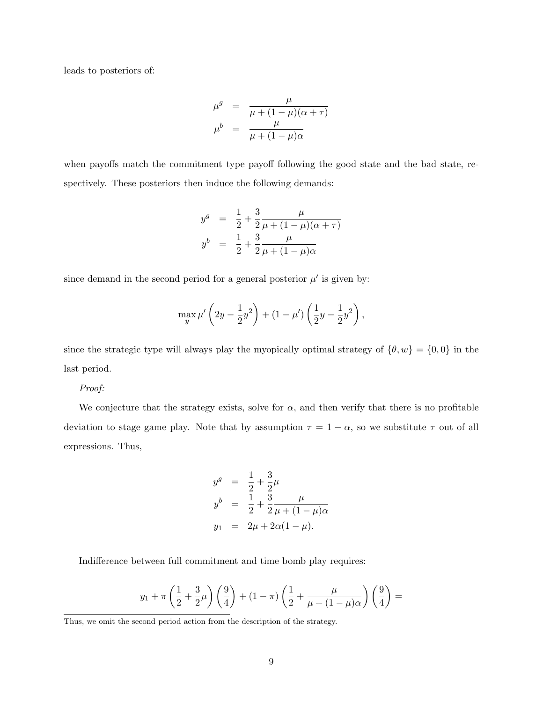leads to posteriors of:

$$
\mu^{g} = \frac{\mu}{\mu + (1 - \mu)(\alpha + \tau)}
$$

$$
\mu^{b} = \frac{\mu}{\mu + (1 - \mu)\alpha}
$$

when payoffs match the commitment type payoff following the good state and the bad state, respectively. These posteriors then induce the following demands:

$$
y^{g} = \frac{1}{2} + \frac{3}{2} \frac{\mu}{\mu + (1 - \mu)(\alpha + \tau)}
$$
  

$$
y^{b} = \frac{1}{2} + \frac{3}{2} \frac{\mu}{\mu + (1 - \mu)\alpha}
$$

since demand in the second period for a general posterior  $\mu'$  is given by:

$$
\max_{y} \mu' \left( 2y - \frac{1}{2}y^2 \right) + (1 - \mu') \left( \frac{1}{2}y - \frac{1}{2}y^2 \right),
$$

since the strategic type will always play the myopically optimal strategy of  $\{\theta, w\} = \{0, 0\}$  in the last period.

### Proof:

We conjecture that the strategy exists, solve for  $\alpha$ , and then verify that there is no profitable deviation to stage game play. Note that by assumption  $\tau = 1 - \alpha$ , so we substitute  $\tau$  out of all expressions. Thus,

$$
y^{g} = \frac{1}{2} + \frac{3}{2}\mu
$$
  
\n
$$
y^{b} = \frac{1}{2} + \frac{3}{2}\mu + \frac{\mu}{(\mu + \mu)\alpha}
$$
  
\n
$$
y_{1} = 2\mu + 2\alpha(1 - \mu).
$$

Indifference between full commitment and time bomb play requires:

$$
y_1 + \pi \left(\frac{1}{2} + \frac{3}{2}\mu\right) \left(\frac{9}{4}\right) + (1 - \pi) \left(\frac{1}{2} + \frac{\mu}{\mu + (1 - \mu)\alpha}\right) \left(\frac{9}{4}\right) =
$$

Thus, we omit the second period action from the description of the strategy.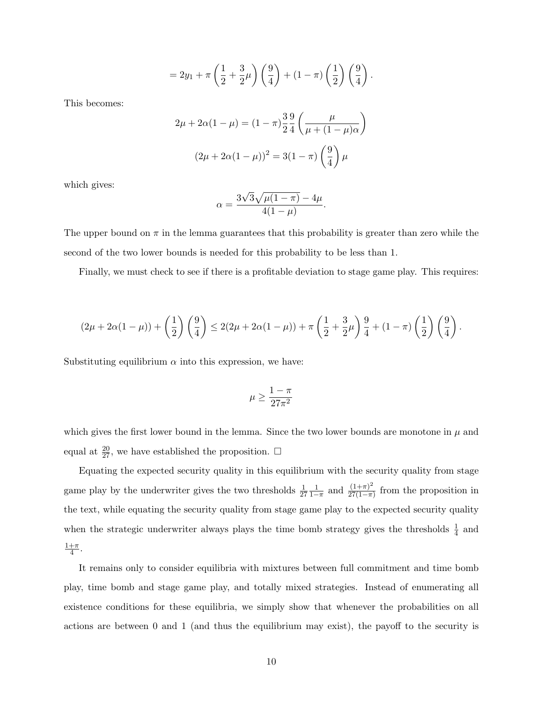$$
=2y_1+\pi\left(\frac{1}{2}+ \frac{3}{2}\mu\right)\left(\frac{9}{4}\right)+(1-\pi)\left(\frac{1}{2}\right)\left(\frac{9}{4}\right).
$$

This becomes:

$$
2\mu + 2\alpha(1 - \mu) = (1 - \pi)\frac{3}{2}\frac{9}{4}\left(\frac{\mu}{\mu + (1 - \mu)\alpha}\right)
$$

$$
(2\mu + 2\alpha(1 - \mu))^2 = 3(1 - \pi)\left(\frac{9}{4}\right)\mu
$$

which gives:

$$
\alpha = \frac{3\sqrt{3}\sqrt{\mu(1-\pi)} - 4\mu}{4(1-\mu)}.
$$

The upper bound on  $\pi$  in the lemma guarantees that this probability is greater than zero while the second of the two lower bounds is needed for this probability to be less than 1.

Finally, we must check to see if there is a profitable deviation to stage game play. This requires:

$$
(2\mu + 2\alpha(1 - \mu)) + \left(\frac{1}{2}\right)\left(\frac{9}{4}\right) \le 2(2\mu + 2\alpha(1 - \mu)) + \pi\left(\frac{1}{2} + \frac{3}{2}\mu\right)\frac{9}{4} + (1 - \pi)\left(\frac{1}{2}\right)\left(\frac{9}{4}\right).
$$

Substituting equilibrium  $\alpha$  into this expression, we have:

$$
\mu \geq \frac{1-\pi}{27\pi^2}
$$

which gives the first lower bound in the lemma. Since the two lower bounds are monotone in  $\mu$  and equal at  $\frac{20}{27}$ , we have established the proposition.  $\Box$ 

Equating the expected security quality in this equilibrium with the security quality from stage game play by the underwriter gives the two thresholds  $\frac{1}{27}$  $\frac{1}{1-\pi}$  and  $\frac{(1+\pi)^2}{27(1-\pi)}$  $\frac{(1+\pi)^2}{27(1-\pi)}$  from the proposition in the text, while equating the security quality from stage game play to the expected security quality when the strategic underwriter always plays the time bomb strategy gives the thresholds  $\frac{1}{4}$  and  $1+\pi$  $\frac{+\pi}{4}$ .

It remains only to consider equilibria with mixtures between full commitment and time bomb play, time bomb and stage game play, and totally mixed strategies. Instead of enumerating all existence conditions for these equilibria, we simply show that whenever the probabilities on all actions are between 0 and 1 (and thus the equilibrium may exist), the payoff to the security is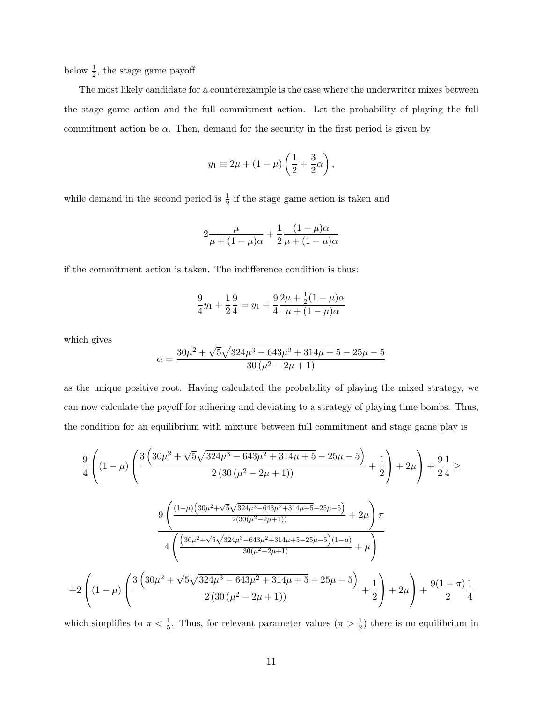below  $\frac{1}{2}$ , the stage game payoff.

The most likely candidate for a counterexample is the case where the underwriter mixes between the stage game action and the full commitment action. Let the probability of playing the full commitment action be  $\alpha$ . Then, demand for the security in the first period is given by

$$
y_1 \equiv 2\mu + (1 - \mu) \left( \frac{1}{2} + \frac{3}{2} \alpha \right),
$$

while demand in the second period is  $\frac{1}{2}$  if the stage game action is taken and

$$
2\frac{\mu}{\mu + (1-\mu)\alpha} + \frac{1}{2}\frac{(1-\mu)\alpha}{\mu + (1-\mu)\alpha}
$$

if the commitment action is taken. The indifference condition is thus:

$$
\frac{9}{4}y_1 + \frac{1}{2}\frac{9}{4} = y_1 + \frac{9}{4}\frac{2\mu + \frac{1}{2}(1-\mu)\alpha}{\mu + (1-\mu)\alpha}
$$

which gives

$$
\alpha = \frac{30\mu^2 + \sqrt{5}\sqrt{324\mu^3 - 643\mu^2 + 314\mu + 5} - 25\mu - 5}{30(\mu^2 - 2\mu + 1)}
$$

as the unique positive root. Having calculated the probability of playing the mixed strategy, we can now calculate the payoff for adhering and deviating to a strategy of playing time bombs. Thus, the condition for an equilibrium with mixture between full commitment and stage game play is

$$
\frac{9}{4}\left((1-\mu)\left(\frac{3\left(30\mu^2+\sqrt{5}\sqrt{324\mu^3-643\mu^2+314\mu+5}-25\mu-5\right)}{2\left(30\left(\mu^2-2\mu+1\right)\right)}+\frac{1}{2}\right)+2\mu\right)+\frac{9}{2}\frac{1}{4}\geq
$$

$$
\frac{9\left(\frac{(1-\mu)\left(30\mu^2+\sqrt{5}\sqrt{324\mu^3-643\mu^2+314\mu+5}-25\mu-5\right)}{2(30(\mu^2-2\mu+1))}+2\mu\right)\pi}{4\left(\frac{\left(30\mu^2+\sqrt{5}\sqrt{324\mu^3-643\mu^2+314\mu+5}-25\mu-5\right)(1-\mu)}{30(\mu^2-2\mu+1)}+\mu\right)}
$$

$$
+2\left((1-\mu)\left(\frac{3\left(30\mu^2+\sqrt{5}\sqrt{324\mu^3-643\mu^2+314\mu+5}-25\mu-5\right)}{2\left(30\left(\mu^2-2\mu+1\right)\right)}+\frac{1}{2}\right)+2\mu\right)+\frac{9(1-\pi)}{2}\frac{1}{4}\right)
$$

which simplifies to  $\pi < \frac{1}{5}$ . Thus, for relevant parameter values  $(\pi > \frac{1}{2})$  there is no equilibrium in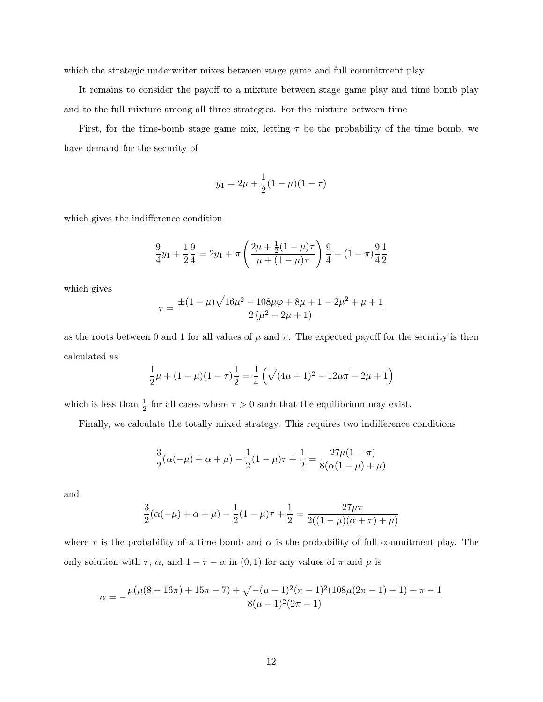which the strategic underwriter mixes between stage game and full commitment play.

It remains to consider the payoff to a mixture between stage game play and time bomb play and to the full mixture among all three strategies. For the mixture between time

First, for the time-bomb stage game mix, letting  $\tau$  be the probability of the time bomb, we have demand for the security of

$$
y_1 = 2\mu + \frac{1}{2}(1 - \mu)(1 - \tau)
$$

which gives the indifference condition

$$
\frac{9}{4}y_1 + \frac{1}{2}\frac{9}{4} = 2y_1 + \pi \left(\frac{2\mu + \frac{1}{2}(1-\mu)\tau}{\mu + (1-\mu)\tau}\right)\frac{9}{4} + (1-\pi)\frac{9}{4}\frac{1}{2}
$$

which gives

$$
\tau = \frac{\pm (1 - \mu) \sqrt{16 \mu^2 - 108 \mu \varphi + 8 \mu + 1} - 2 \mu^2 + \mu + 1}{2 (\mu^2 - 2 \mu + 1)}
$$

as the roots between 0 and 1 for all values of  $\mu$  and  $\pi$ . The expected payoff for the security is then calculated as

$$
\frac{1}{2}\mu + (1 - \mu)(1 - \tau)\frac{1}{2} = \frac{1}{4}\left(\sqrt{(4\mu + 1)^2 - 12\mu\pi} - 2\mu + 1\right)
$$

which is less than  $\frac{1}{2}$  for all cases where  $\tau > 0$  such that the equilibrium may exist.

Finally, we calculate the totally mixed strategy. This requires two indifference conditions

$$
\frac{3}{2}(\alpha(-\mu) + \alpha + \mu) - \frac{1}{2}(1 - \mu)\tau + \frac{1}{2} = \frac{27\mu(1 - \pi)}{8(\alpha(1 - \mu) + \mu)}
$$

and

$$
\frac{3}{2}(\alpha(-\mu) + \alpha + \mu) - \frac{1}{2}(1-\mu)\tau + \frac{1}{2} = \frac{27\mu\pi}{2((1-\mu)(\alpha+\tau)+\mu)}
$$

where  $\tau$  is the probability of a time bomb and  $\alpha$  is the probability of full commitment play. The only solution with  $\tau$ ,  $\alpha$ , and  $1 - \tau - \alpha$  in  $(0, 1)$  for any values of  $\pi$  and  $\mu$  is

$$
\alpha = -\frac{\mu(\mu(8 - 16\pi) + 15\pi - 7) + \sqrt{-(\mu - 1)^2(\pi - 1)^2(108\mu(2\pi - 1) - 1)} + \pi - 1}{8(\mu - 1)^2(2\pi - 1)}
$$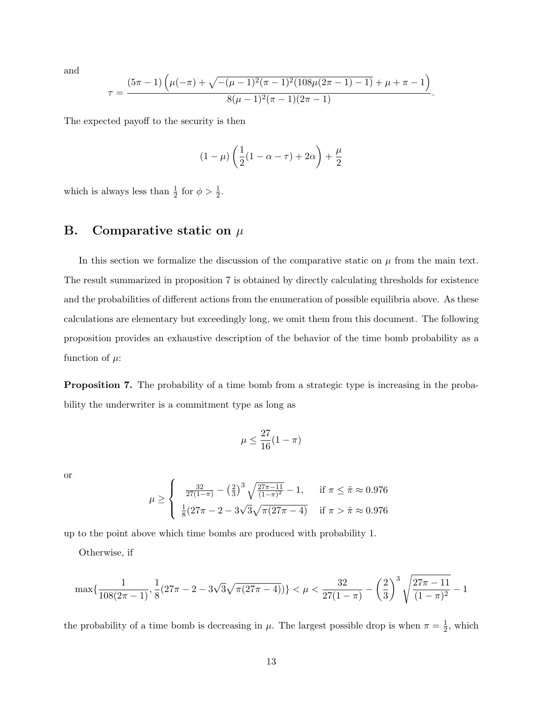and

$$
\tau = \frac{(5\pi - 1)\left(\mu(-\pi) + \sqrt{-(\mu - 1)^2(\pi - 1)^2(108\mu(2\pi - 1) - 1)} + \mu + \pi - 1\right)}{8(\mu - 1)^2(\pi - 1)(2\pi - 1)}.
$$

The expected payoff to the security is then

$$
(1 - \mu) \left(\frac{1}{2}(1 - \alpha - \tau) + 2\alpha\right) + \frac{\mu}{2}
$$

which is always less than  $\frac{1}{2}$  for  $\phi > \frac{1}{2}$ .

# B. Comparative static on  $\mu$

In this section we formalize the discussion of the comparative static on  $\mu$  from the main text. The result summarized in proposition 7 is obtained by directly calculating thresholds for existence and the probabilities of different actions from the enumeration of possible equilibria above. As these calculations are elementary but exceedingly long, we omit them from this document. The following proposition provides an exhaustive description of the behavior of the time bomb probability as a function of  $\mu$ :

Proposition 7. The probability of a time bomb from a strategic type is increasing in the probability the underwriter is a commitment type as long as

$$
\mu \le \frac{27}{16}(1-\pi)
$$

or

$$
\mu \ge \begin{cases} \frac{32}{27(1-\pi)} - \left(\frac{2}{3}\right)^3 \sqrt{\frac{27\pi - 11}{(1-\pi)^2}} - 1, & \text{if } \pi \le \tilde{\pi} \approx 0.976 \\ \frac{1}{8}(27\pi - 2 - 3\sqrt{3}\sqrt{\pi(27\pi - 4)} & \text{if } \pi > \tilde{\pi} \approx 0.976 \end{cases}
$$

up to the point above which time bombs are produced with probability 1.

Otherwise, if

$$
\max\{\frac{1}{108(2\pi-1)},\frac{1}{8}(27\pi-2-3\sqrt{3}\sqrt{\pi(27\pi-4)})\}<\mu<\frac{32}{27(1-\pi)}-\left(\frac{2}{3}\right)^3\sqrt{\frac{27\pi-11}{(1-\pi)^2}}-1
$$

the probability of a time bomb is decreasing in  $\mu$ . The largest possible drop is when  $\pi = \frac{1}{2}$  $\frac{1}{2}$ , which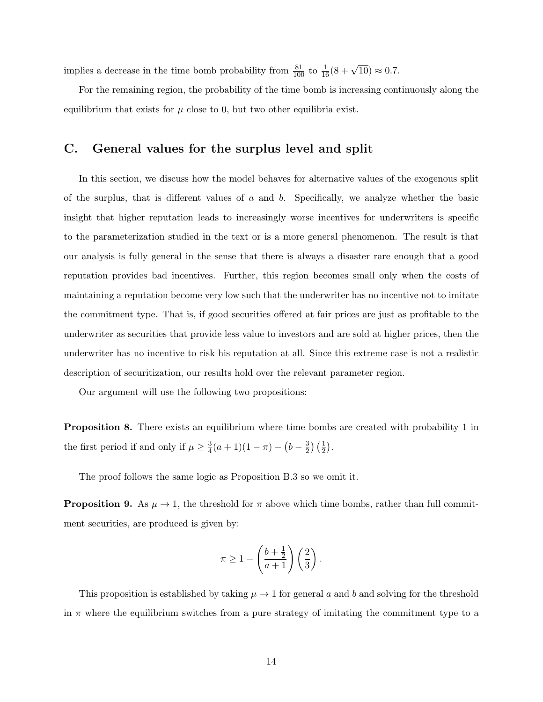implies a decrease in the time bomb probability from  $\frac{81}{100}$  to  $\frac{1}{16}(8+\sqrt{10}) \approx 0.7$ .

For the remaining region, the probability of the time bomb is increasing continuously along the equilibrium that exists for  $\mu$  close to 0, but two other equilibria exist.

## C. General values for the surplus level and split

In this section, we discuss how the model behaves for alternative values of the exogenous split of the surplus, that is different values of  $a$  and  $b$ . Specifically, we analyze whether the basic insight that higher reputation leads to increasingly worse incentives for underwriters is specific to the parameterization studied in the text or is a more general phenomenon. The result is that our analysis is fully general in the sense that there is always a disaster rare enough that a good reputation provides bad incentives. Further, this region becomes small only when the costs of maintaining a reputation become very low such that the underwriter has no incentive not to imitate the commitment type. That is, if good securities offered at fair prices are just as profitable to the underwriter as securities that provide less value to investors and are sold at higher prices, then the underwriter has no incentive to risk his reputation at all. Since this extreme case is not a realistic description of securitization, our results hold over the relevant parameter region.

Our argument will use the following two propositions:

**Proposition 8.** There exists an equilibrium where time bombs are created with probability 1 in the first period if and only if  $\mu \geq \frac{3}{4}$  $\frac{3}{4}(a+1)(1-\pi) - (b-\frac{3}{2})$  $\frac{3}{2}$   $\left(\frac{1}{2}\right)$ .

The proof follows the same logic as Proposition B.3 so we omit it.

**Proposition 9.** As  $\mu \to 1$ , the threshold for  $\pi$  above which time bombs, rather than full commitment securities, are produced is given by:

$$
\pi \ge 1 - \left(\frac{b+\frac{1}{2}}{a+1}\right)\left(\frac{2}{3}\right).
$$

This proposition is established by taking  $\mu \to 1$  for general a and b and solving for the threshold in  $\pi$  where the equilibrium switches from a pure strategy of imitating the commitment type to a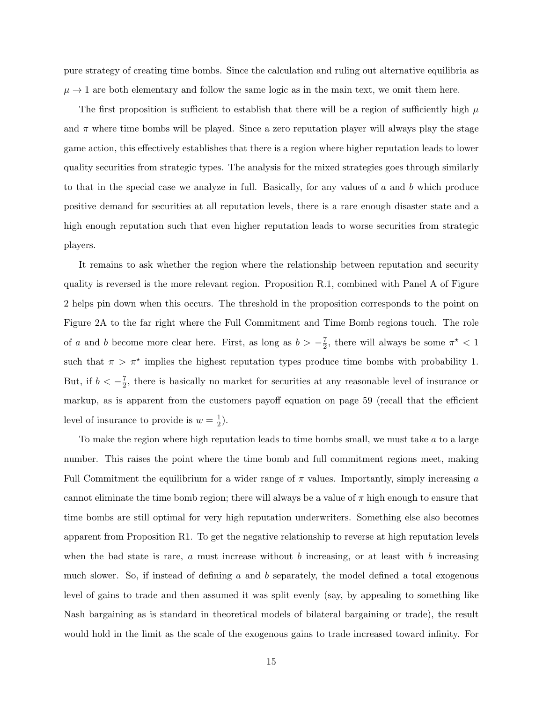pure strategy of creating time bombs. Since the calculation and ruling out alternative equilibria as  $\mu \rightarrow 1$  are both elementary and follow the same logic as in the main text, we omit them here.

The first proposition is sufficient to establish that there will be a region of sufficiently high  $\mu$ and  $\pi$  where time bombs will be played. Since a zero reputation player will always play the stage game action, this effectively establishes that there is a region where higher reputation leads to lower quality securities from strategic types. The analysis for the mixed strategies goes through similarly to that in the special case we analyze in full. Basically, for any values of a and b which produce positive demand for securities at all reputation levels, there is a rare enough disaster state and a high enough reputation such that even higher reputation leads to worse securities from strategic players.

It remains to ask whether the region where the relationship between reputation and security quality is reversed is the more relevant region. Proposition R.1, combined with Panel A of Figure 2 helps pin down when this occurs. The threshold in the proposition corresponds to the point on Figure 2A to the far right where the Full Commitment and Time Bomb regions touch. The role of a and b become more clear here. First, as long as  $b > -\frac{7}{2}$  $\frac{7}{2}$ , there will always be some  $\pi^*$  < 1 such that  $\pi > \pi^*$  implies the highest reputation types produce time bombs with probability 1. But, if  $b < -\frac{7}{2}$  $\frac{7}{2}$ , there is basically no market for securities at any reasonable level of insurance or markup, as is apparent from the customers payoff equation on page 59 (recall that the efficient level of insurance to provide is  $w = \frac{1}{2}$  $(\frac{1}{2})$ .

To make the region where high reputation leads to time bombs small, we must take a to a large number. This raises the point where the time bomb and full commitment regions meet, making Full Commitment the equilibrium for a wider range of  $\pi$  values. Importantly, simply increasing a cannot eliminate the time bomb region; there will always be a value of  $\pi$  high enough to ensure that time bombs are still optimal for very high reputation underwriters. Something else also becomes apparent from Proposition R1. To get the negative relationship to reverse at high reputation levels when the bad state is rare,  $a$  must increase without  $b$  increasing, or at least with  $b$  increasing much slower. So, if instead of defining a and b separately, the model defined a total exogenous level of gains to trade and then assumed it was split evenly (say, by appealing to something like Nash bargaining as is standard in theoretical models of bilateral bargaining or trade), the result would hold in the limit as the scale of the exogenous gains to trade increased toward infinity. For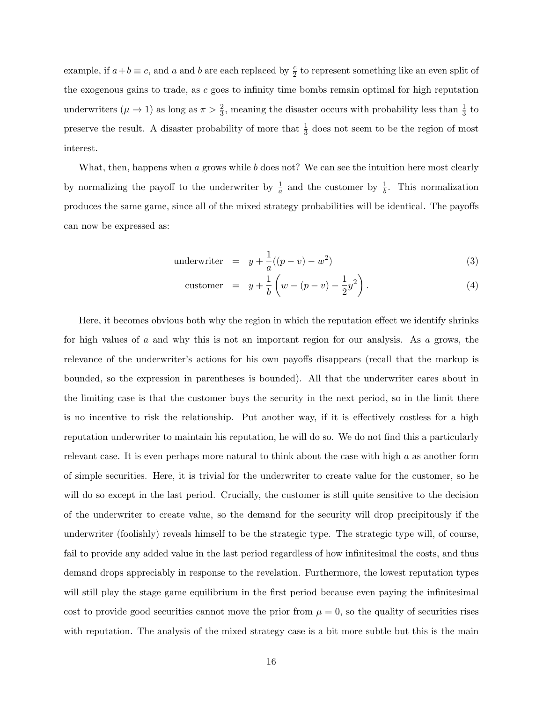example, if  $a + b \equiv c$ , and a and b are each replaced by  $\frac{c}{2}$  to represent something like an even split of the exogenous gains to trade, as  $c$  goes to infinity time bombs remain optimal for high reputation underwriters  $(\mu \to 1)$  as long as  $\pi > \frac{2}{3}$ , meaning the disaster occurs with probability less than  $\frac{1}{3}$  to preserve the result. A disaster probability of more that  $\frac{1}{3}$  does not seem to be the region of most interest.

What, then, happens when  $\alpha$  grows while  $b$  does not? We can see the intuition here most clearly by normalizing the payoff to the underwriter by  $\frac{1}{a}$  and the customer by  $\frac{1}{b}$ . This normalization produces the same game, since all of the mixed strategy probabilities will be identical. The payoffs can now be expressed as:

underwriter = 
$$
y + \frac{1}{a}((p-v) - w^2)
$$
 (3)

$$
\text{customer} = y + \frac{1}{b} \left( w - (p - v) - \frac{1}{2} y^2 \right). \tag{4}
$$

Here, it becomes obvious both why the region in which the reputation effect we identify shrinks for high values of a and why this is not an important region for our analysis. As a grows, the relevance of the underwriter's actions for his own payoffs disappears (recall that the markup is bounded, so the expression in parentheses is bounded). All that the underwriter cares about in the limiting case is that the customer buys the security in the next period, so in the limit there is no incentive to risk the relationship. Put another way, if it is effectively costless for a high reputation underwriter to maintain his reputation, he will do so. We do not find this a particularly relevant case. It is even perhaps more natural to think about the case with high  $a$  as another form of simple securities. Here, it is trivial for the underwriter to create value for the customer, so he will do so except in the last period. Crucially, the customer is still quite sensitive to the decision of the underwriter to create value, so the demand for the security will drop precipitously if the underwriter (foolishly) reveals himself to be the strategic type. The strategic type will, of course, fail to provide any added value in the last period regardless of how infinitesimal the costs, and thus demand drops appreciably in response to the revelation. Furthermore, the lowest reputation types will still play the stage game equilibrium in the first period because even paying the infinitesimal cost to provide good securities cannot move the prior from  $\mu = 0$ , so the quality of securities rises with reputation. The analysis of the mixed strategy case is a bit more subtle but this is the main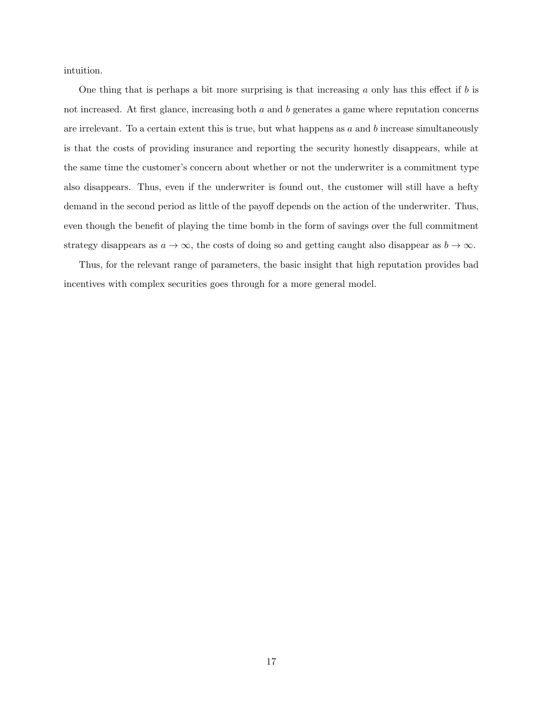intuition.

One thing that is perhaps a bit more surprising is that increasing  $a$  only has this effect if  $b$  is not increased. At first glance, increasing both  $a$  and  $b$  generates a game where reputation concerns are irrelevant. To a certain extent this is true, but what happens as  $a$  and  $b$  increase simultaneously is that the costs of providing insurance and reporting the security honestly disappears, while at the same time the customer's concern about whether or not the underwriter is a commitment type also disappears. Thus, even if the underwriter is found out, the customer will still have a hefty demand in the second period as little of the payoff depends on the action of the underwriter. Thus, even though the benefit of playing the time bomb in the form of savings over the full commitment strategy disappears as  $a \to \infty$ , the costs of doing so and getting caught also disappear as  $b \to \infty$ .

Thus, for the relevant range of parameters, the basic insight that high reputation provides bad incentives with complex securities goes through for a more general model.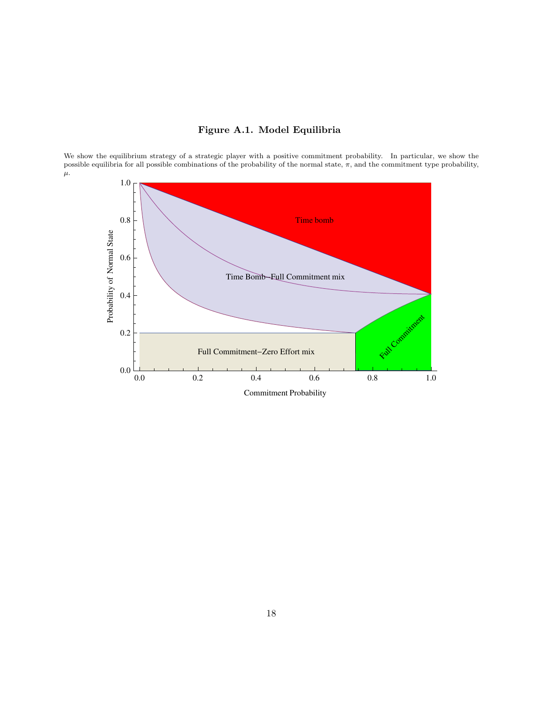### Figure A.1. Model Equilibria

We show the equilibrium strategy of a strategic player with a positive commitment probability. In particular, we show the possible equilibria for all possible combinations of the probability of the normal state,  $\pi$ , and the commitment type probability,  $\mu$ .

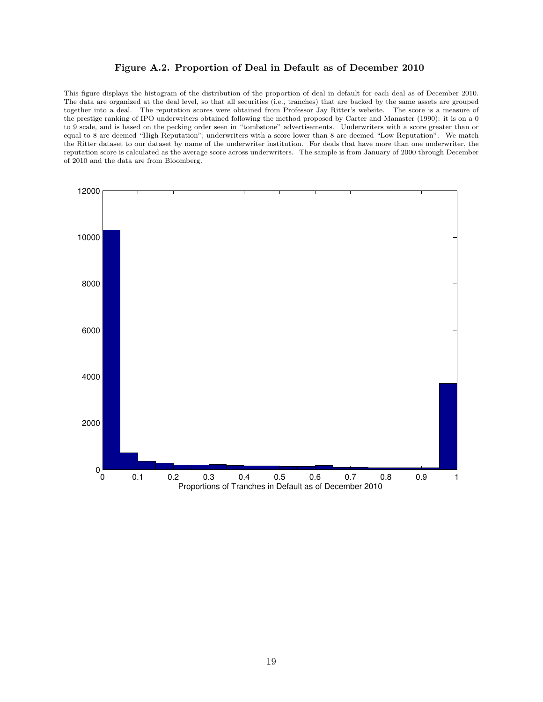### Figure A.2. Proportion of Deal in Default as of December 2010

This figure displays the histogram of the distribution of the proportion of deal in default for each deal as of December 2010. The data are organized at the deal level, so that all securities (i.e., tranches) that are backed by the same assets are grouped together into a deal. The reputation scores were obtained from Professor Jay Ritter's website. The score is a measure of the prestige ranking of IPO underwriters obtained following the method proposed by Carter and Manaster (1990): it is on a 0 to 9 scale, and is based on the pecking order seen in "tombstone" advertisements. Underwriters with a score greater than or equal to 8 are deemed "High Reputation"; underwriters with a score lower than 8 are deemed "Low Reputation". We match the Ritter dataset to our dataset by name of the underwriter institution. For deals that have more than one underwriter, the reputation score is calculated as the average score across underwriters. The sample is from January of 2000 through December of 2010 and the data are from Bloomberg.

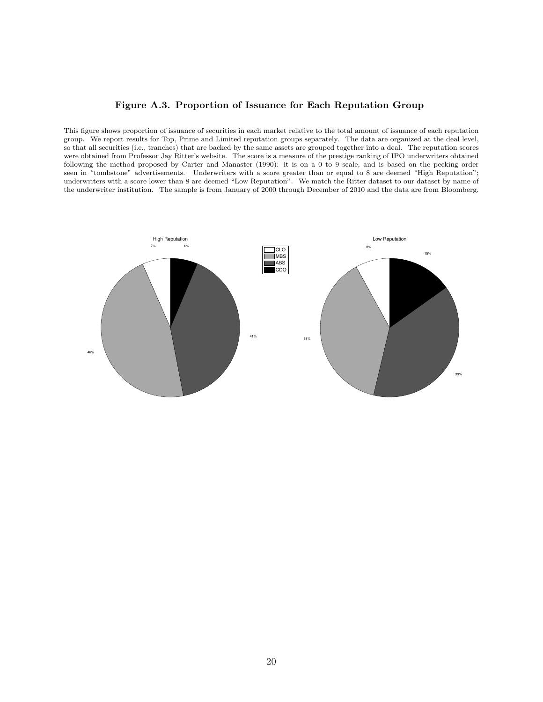### Figure A.3. Proportion of Issuance for Each Reputation Group

This figure shows proportion of issuance of securities in each market relative to the total amount of issuance of each reputation group. We report results for Top, Prime and Limited reputation groups separately. The data are organized at the deal level, so that all securities (i.e., tranches) that are backed by the same assets are grouped together into a deal. The reputation scores were obtained from Professor Jay Ritter's website. The score is a measure of the prestige ranking of IPO underwriters obtained following the method proposed by Carter and Manaster (1990): it is on a 0 to 9 scale, and is based on the pecking order seen in "tombstone" advertisements. Underwriters with a score greater than or equal to 8 are deemed "High Reputation"; underwriters with a score lower than 8 are deemed "Low Reputation". We match the Ritter dataset to our dataset by name of the underwriter institution. The sample is from January of 2000 through December of 2010 and the data are from Bloomberg.

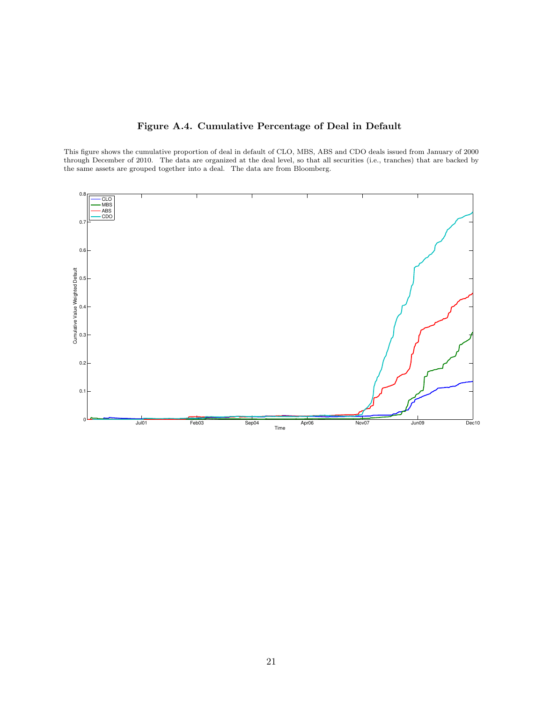Figure A.4. Cumulative Percentage of Deal in Default

This figure shows the cumulative proportion of deal in default of CLO, MBS, ABS and CDO deals issued from January of 2000 through December of 2010. The data are organized at the deal level, so that all securities (i.e., tranches) that are backed by the same assets are grouped together into a deal. The data are from Bloomberg.

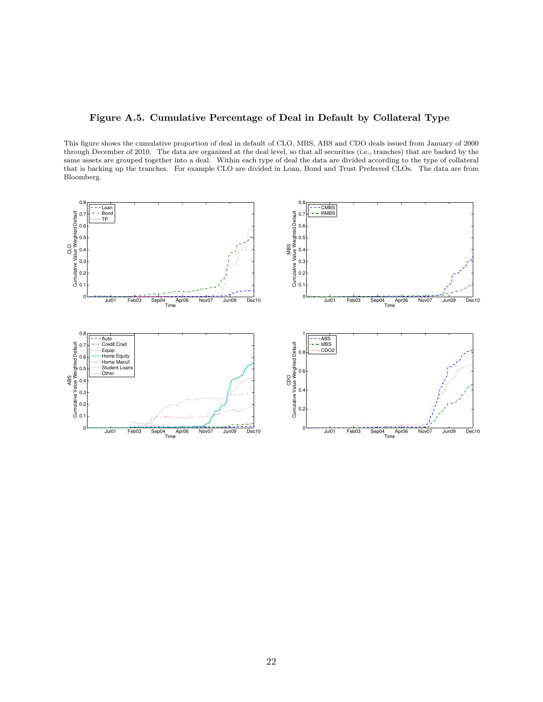### Figure A.5. Cumulative Percentage of Deal in Default by Collateral Type

This figure shows the cumulative proportion of deal in default of CLO, MBS, ABS and CDO deals issued from January of 2000 through December of 2010. The data are organized at the deal level, so that all securities (i.e., tranches) that are backed by the same assets are grouped together into a deal. Within each type of deal the data are divided according to the type of collateral that is backing up the tranches. For example CLO are divided in Loan, Bond and Trust Preferred CLOs. The data are from Bloomberg.

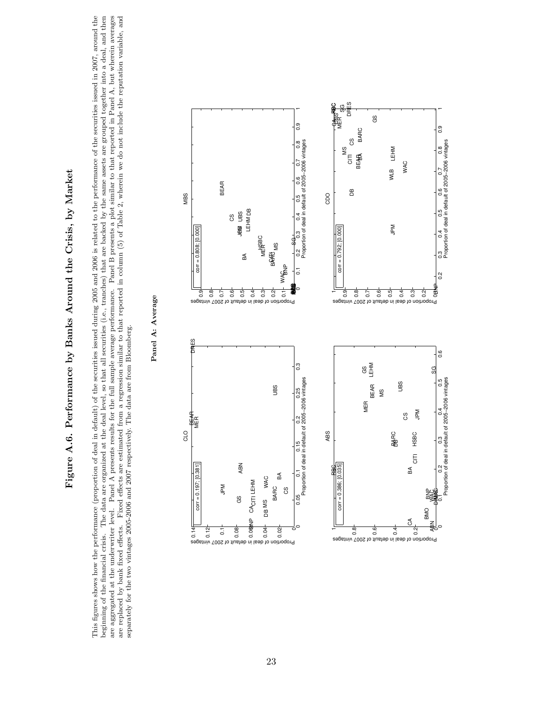# Figure A.6. Performance by Banks Around the Crisis, by Market Figure A.6. Performance by Banks Around the Crisis, by Market

This figures shows how the performance (proportion of deal in default) of the securities issued during 2005 and 2006 is related to the performance of the securities issued in 2007, around the begiming of the financial crisis. The data are organized at the deal level, so that all securities (i.e., tranches) that are backed by the same assets are grouped together into a deal, and then are aggregated at the under This figures shows how the performance (proportion of deal in default) of the securities issued during 2005 and 2006 is related to the performance of the securities issued in 2007, around the beginning of the financial crisis. The data are organized at the deal level, so that all securities (i.e., tranches) that are backed by the same assets are grouped together into a deal, and then are aggregated at the underwriter level. Panel A presents results for the full sample average performance. Panel B presents a plot similar to that reported in Panel A, but wherein averages are replaced by bank fixed effects. Fixed effects are estimated from a regression similar to that reported in column (5) of Table 2, wherein we do not include the reputation variable, and are separately for the two vintages 2005-2006 and 2007 respectively. The data are from Bloomberg. separately for the two vintages 2005-2006 and 2007 respectively. The data are from Bloomberg.



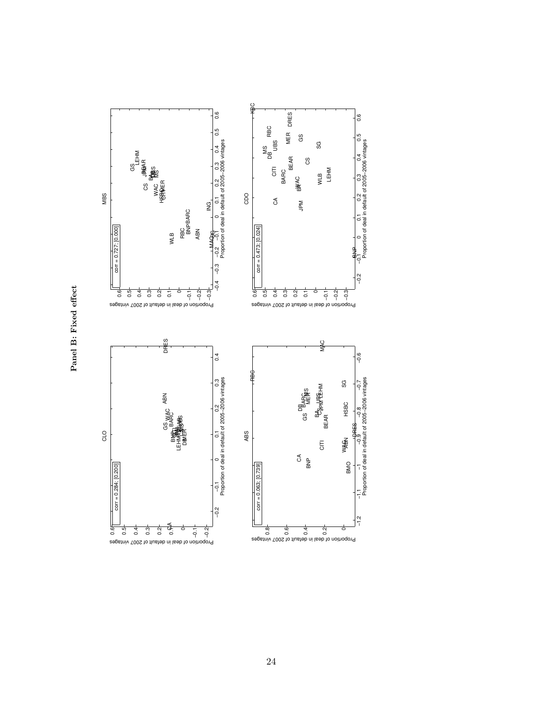

Panel B: Fixed effect Panel B: Fixed effect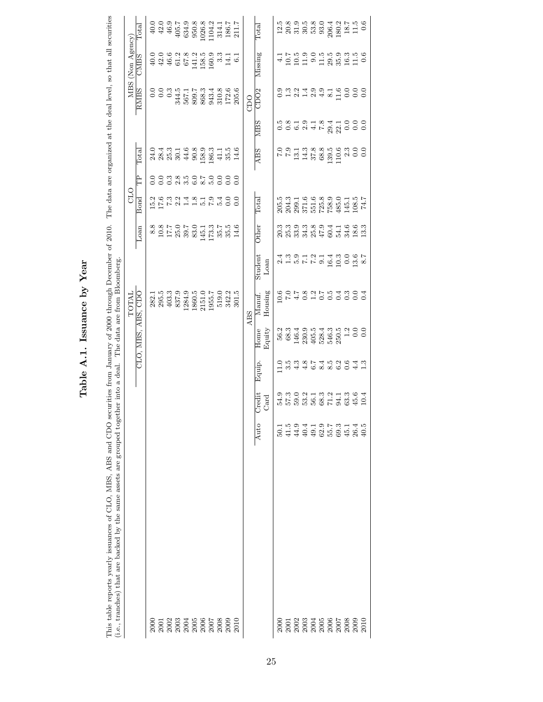This table reports yearly issuances of CLO, MBS, ABS and CDO securities from January of 2000 through December of 2010. The data are organized at the deal level, so that all securities This table reports yearly issuances of CLO, MBS, ABS and CDO securities from January of 2000 through December of 2010. The data are organized at the deal level, so that all securities

Table A.1. Issuance by Year

Table A.1. Issuance by Year

| (i.e., tranches) that are backed by the same assets are       | grouped together into a deal. |        |        |                                                                                                                                                                                                                                | The data are from Bloomberg.                                                                             |                |                                              |             |                                   |            |             |                  |                  |                                                                                                                                   |
|---------------------------------------------------------------|-------------------------------|--------|--------|--------------------------------------------------------------------------------------------------------------------------------------------------------------------------------------------------------------------------------|----------------------------------------------------------------------------------------------------------|----------------|----------------------------------------------|-------------|-----------------------------------|------------|-------------|------------------|------------------|-----------------------------------------------------------------------------------------------------------------------------------|
|                                                               |                               |        |        |                                                                                                                                                                                                                                | TOTAL                                                                                                    |                |                                              | CLO         |                                   |            |             |                  | MBS (Non Agency) |                                                                                                                                   |
|                                                               |                               |        |        | CLO, MBS, ABS, CDC                                                                                                                                                                                                             |                                                                                                          |                | Loan                                         | <b>Bond</b> | Ê                                 | Total      |             | RMBS             | CMBS             | Total                                                                                                                             |
|                                                               |                               |        |        |                                                                                                                                                                                                                                |                                                                                                          |                |                                              |             |                                   |            |             |                  |                  |                                                                                                                                   |
|                                                               |                               |        |        |                                                                                                                                                                                                                                |                                                                                                          |                |                                              |             |                                   |            |             |                  |                  |                                                                                                                                   |
|                                                               |                               |        |        |                                                                                                                                                                                                                                |                                                                                                          |                |                                              |             |                                   |            |             |                  |                  |                                                                                                                                   |
|                                                               |                               |        |        |                                                                                                                                                                                                                                | $\begin{array}{l} 282.1 \\ 295.5 \\ 295.3 \\ 403.3 \\ 837.9 \\ 1284.9 \\ 151.0 \\ 1055.7 \\ \end{array}$ |                |                                              |             | OOM W HO LOOOO<br>OOM W W W W OOO |            |             |                  |                  | $\begin{array}{l} 40.0 \\ 42.0 \\ 46.0 \\ 49.5 \\ 40.3 \\ 40.3 \\ 63.0 \\ 950.8 \\ 1026.3 \\ 111.7 \\ 211.7 \\ 211.7 \end{array}$ |
|                                                               |                               |        |        |                                                                                                                                                                                                                                |                                                                                                          |                |                                              |             |                                   |            |             |                  |                  |                                                                                                                                   |
|                                                               |                               |        |        |                                                                                                                                                                                                                                |                                                                                                          |                |                                              |             |                                   |            |             |                  |                  |                                                                                                                                   |
|                                                               |                               |        |        |                                                                                                                                                                                                                                |                                                                                                          |                |                                              |             |                                   |            |             |                  |                  |                                                                                                                                   |
|                                                               |                               |        |        |                                                                                                                                                                                                                                |                                                                                                          |                |                                              |             |                                   |            |             |                  |                  |                                                                                                                                   |
|                                                               |                               |        |        |                                                                                                                                                                                                                                |                                                                                                          |                |                                              |             |                                   |            |             |                  |                  |                                                                                                                                   |
|                                                               |                               |        |        |                                                                                                                                                                                                                                | $\frac{519.0}{342.5}$                                                                                    |                |                                              |             |                                   |            |             |                  |                  |                                                                                                                                   |
|                                                               |                               |        |        |                                                                                                                                                                                                                                |                                                                                                          |                |                                              |             |                                   |            |             |                  |                  |                                                                                                                                   |
|                                                               |                               |        |        |                                                                                                                                                                                                                                | <b>ABS</b>                                                                                               |                |                                              |             |                                   |            |             | CDO              |                  |                                                                                                                                   |
|                                                               | Auto                          | Credit | Equip. | Home                                                                                                                                                                                                                           | Manuf                                                                                                    | Student        | Other                                        | Total       |                                   | <b>ABS</b> | <b>NIBS</b> | CDO <sub>2</sub> | Missing          | Total                                                                                                                             |
|                                                               |                               | Card   |        | Equity                                                                                                                                                                                                                         | Housing                                                                                                  | $_{\rm{Loan}}$ |                                              |             |                                   |            |             |                  |                  |                                                                                                                                   |
|                                                               |                               |        |        |                                                                                                                                                                                                                                |                                                                                                          |                |                                              |             |                                   |            |             |                  |                  |                                                                                                                                   |
|                                                               |                               |        |        |                                                                                                                                                                                                                                |                                                                                                          |                |                                              |             |                                   |            |             |                  |                  |                                                                                                                                   |
|                                                               |                               |        |        |                                                                                                                                                                                                                                |                                                                                                          |                |                                              |             |                                   |            |             |                  |                  |                                                                                                                                   |
|                                                               |                               |        |        |                                                                                                                                                                                                                                |                                                                                                          |                |                                              |             |                                   |            |             |                  |                  |                                                                                                                                   |
|                                                               |                               |        |        |                                                                                                                                                                                                                                |                                                                                                          |                |                                              |             |                                   |            |             |                  |                  |                                                                                                                                   |
|                                                               |                               |        |        |                                                                                                                                                                                                                                |                                                                                                          |                |                                              |             |                                   |            |             |                  |                  |                                                                                                                                   |
| ន<br>ក្ដី និង មិន ខ្លួន ខ្លួន<br>ក្ដី និង មិន មិន ខ្លួន ខ្លួន |                               |        |        | $56.3$ $68.3$ $69.4$ $69.5$ $69.5$ $69.5$ $69.5$ $69.5$ $69.5$ $69.5$ $69.5$ $69.5$ $69.5$ $69.5$ $69.5$ $69.5$ $69.5$ $69.5$ $69.5$ $69.5$ $69.5$ $69.5$ $69.5$ $69.5$ $69.5$ $69.5$ $69.5$ $69.5$ $69.5$ $69.5$ $69.5$ $69.$ | OCTAOHOOOOOOO                                                                                            |                | nnonn 2014-1000<br>O R R R R R D R R R R R R |             |                                   |            | cocutradooo |                  |                  |                                                                                                                                   |
|                                                               |                               |        |        |                                                                                                                                                                                                                                |                                                                                                          |                |                                              |             |                                   |            |             |                  |                  |                                                                                                                                   |
|                                                               |                               |        |        |                                                                                                                                                                                                                                |                                                                                                          |                |                                              |             |                                   |            |             |                  |                  |                                                                                                                                   |
|                                                               |                               |        |        |                                                                                                                                                                                                                                |                                                                                                          |                |                                              |             |                                   |            |             |                  |                  |                                                                                                                                   |
|                                                               |                               |        |        |                                                                                                                                                                                                                                |                                                                                                          |                |                                              |             |                                   |            |             |                  |                  |                                                                                                                                   |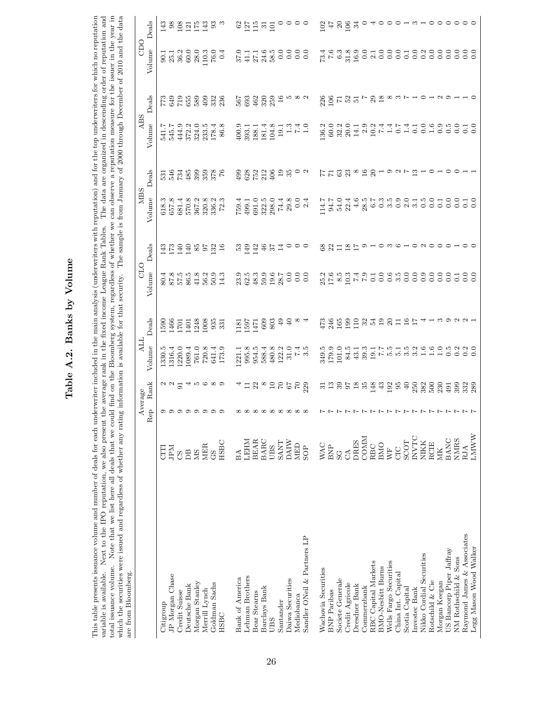Table A.2. Banks by Volume Table A.2. Banks by Volume This table presents issuance volume and number of deals for each underwriter included in the main analysis (underwriters with reputation) and for the top underwriters for which no reputation variable is available. Next to This table presents issuance volume and number of deals for each underwriter included in the main analysis (underwriters with reputation) and for the top underwriters for which no reputation variable is available. Next to the IPO reputation, we also present the average rank in the fixed income League Rank Tables. The data are organized in descending order of reputation and total issuance volume. Note that we list here all deals that we could find on the Bloomberg system, regardless of whether we can observe a reputation measure for the issuer in the year in the year in the year in the year i which the securities were issued and regardless of whether any rating information is available for that security. The sample is from January of 2000 through December of 2010 and the data

| are from Bloomberg          |                            |                   |                                                                       |                                                                                                                                                                                                                                                                                                                                        |                                                                                                                                      |                                                                    |                     |                                           |                                                                             |                                                 |                         |                                                                      |                                                                                                   |
|-----------------------------|----------------------------|-------------------|-----------------------------------------------------------------------|----------------------------------------------------------------------------------------------------------------------------------------------------------------------------------------------------------------------------------------------------------------------------------------------------------------------------------------|--------------------------------------------------------------------------------------------------------------------------------------|--------------------------------------------------------------------|---------------------|-------------------------------------------|-----------------------------------------------------------------------------|-------------------------------------------------|-------------------------|----------------------------------------------------------------------|---------------------------------------------------------------------------------------------------|
|                             |                            | Average           |                                                                       | <b>ALL</b>                                                                                                                                                                                                                                                                                                                             |                                                                                                                                      | CLO                                                                |                     | <b>MBS</b>                                |                                                                             | ABS                                             |                         | CDO                                                                  |                                                                                                   |
|                             |                            | $\mbox{Rep}$      | Rank                                                                  | Volume                                                                                                                                                                                                                                                                                                                                 | Deals                                                                                                                                | Volume                                                             | Deals               | Volume                                    | Deals                                                                       | Volume                                          | Deals                   | Volume                                                               | Deals                                                                                             |
| Citigroup                   | E                          |                   |                                                                       |                                                                                                                                                                                                                                                                                                                                        |                                                                                                                                      |                                                                    |                     |                                           |                                                                             |                                                 |                         |                                                                      |                                                                                                   |
| JP Morgan Chase             | Mdr                        |                   |                                                                       | 1330.5<br>1316.4                                                                                                                                                                                                                                                                                                                       |                                                                                                                                      |                                                                    |                     |                                           |                                                                             |                                                 |                         |                                                                      |                                                                                                   |
| Credit Suisse               | SA<br>Sa<br>Sa<br>Sa<br>Sa | .                 | $\alpha \alpha$ $\alpha$ $\alpha$ $\alpha$ $\alpha$ $\alpha$ $\alpha$ | $\begin{array}{r} 1220.0 \\ 1089.4 \\ 761.0 \\ 720.8 \\ 641.4 \\ 173.9 \\ \end{array}$                                                                                                                                                                                                                                                 | 1590<br>1466<br>1701 1488<br>1248 1903 531                                                                                           | a 8 5 5 6 7 8 9 9 9<br>4 8 5 9 9 9 9 9 9                           | 27228522            | 3<br>6573<br>6513<br>68573<br>68733       | 555639866                                                                   | 541.7<br>545.2<br>544.23.354.8<br>4572.352.78.8 | ransagas                |                                                                      | $288$ $2522$                                                                                      |
| Deutsche Bank               |                            |                   |                                                                       |                                                                                                                                                                                                                                                                                                                                        |                                                                                                                                      |                                                                    |                     |                                           |                                                                             |                                                 |                         |                                                                      |                                                                                                   |
| Morgan Stanley              |                            |                   |                                                                       |                                                                                                                                                                                                                                                                                                                                        |                                                                                                                                      |                                                                    |                     |                                           |                                                                             |                                                 |                         |                                                                      |                                                                                                   |
| Merrill Lynch               |                            |                   |                                                                       |                                                                                                                                                                                                                                                                                                                                        |                                                                                                                                      |                                                                    |                     |                                           |                                                                             |                                                 |                         |                                                                      |                                                                                                   |
| Goldman Sachs               | GS                         |                   |                                                                       |                                                                                                                                                                                                                                                                                                                                        |                                                                                                                                      |                                                                    |                     |                                           |                                                                             |                                                 |                         |                                                                      |                                                                                                   |
| HSBC                        | HSBC                       | ా                 |                                                                       |                                                                                                                                                                                                                                                                                                                                        |                                                                                                                                      |                                                                    |                     |                                           |                                                                             |                                                 |                         |                                                                      |                                                                                                   |
| Bank of America             | BA                         |                   |                                                                       |                                                                                                                                                                                                                                                                                                                                        |                                                                                                                                      |                                                                    |                     |                                           |                                                                             |                                                 |                         | $371190000000$<br>$3711900000000$                                    |                                                                                                   |
| Lehman Brothers             | LEHM                       | $\infty$ $\infty$ |                                                                       |                                                                                                                                                                                                                                                                                                                                        |                                                                                                                                      |                                                                    |                     |                                           |                                                                             |                                                 |                         |                                                                      |                                                                                                   |
| Bear Stearns                | <b>BEAR</b>                |                   |                                                                       |                                                                                                                                                                                                                                                                                                                                        |                                                                                                                                      |                                                                    |                     |                                           |                                                                             |                                                 |                         |                                                                      |                                                                                                   |
| Barclays Bank               | <b>BARC</b>                |                   |                                                                       |                                                                                                                                                                                                                                                                                                                                        |                                                                                                                                      |                                                                    |                     |                                           |                                                                             |                                                 |                         |                                                                      |                                                                                                   |
| UBS                         | <b>UBS</b>                 | .                 | 4738995502                                                            | $\left[\begin{smallmatrix} 1 & 2 & 1 & 1 \\ 2 & 3 & 6 & 4 \\ 9 & 9 & 5 & 4 \\ 9 & 9 & 8 & 8 \\ 9 & 9 & 8 & 2 \\ 9 & 9 & 9 & 2 \\ 1 & 1 & 1 \\ 1 & 2 & 3 & 1 \\ 1 & 3 & 1 & 1 \\ 1 & 1 & 1 & 1 \\ 1 & 1 & 1 & 1 \\ 1 & 1 & 1 & 1 \\ 1 & 1 & 1 & 1 \\ 1 & 1 & 1 & 1 \\ 1 & 1 & 1 & 1 \\ 1 & 1 & 1 & 1 \\ 1 & 1 & 1 & 1 \\ 1 & 1 & 1 & 1$ | $\begin{array}{l} 1181 \\ 1597 \\ 1409 \\ 603 \\ \hline \end{array} \hspace{1.05cm} \begin{array}{l} 49 \\ 49 \\ \hline \end{array}$ |                                                                    | 5924857             |                                           | 988279995                                                                   |                                                 | 5638884                 |                                                                      | 327720000                                                                                         |
| Santander                   | <b>SANT</b>                |                   |                                                                       |                                                                                                                                                                                                                                                                                                                                        |                                                                                                                                      |                                                                    |                     |                                           |                                                                             |                                                 |                         |                                                                      |                                                                                                   |
| Daiwa Securities            | <b>DAIW</b>                |                   |                                                                       |                                                                                                                                                                                                                                                                                                                                        |                                                                                                                                      |                                                                    | $\circ \circ \circ$ |                                           |                                                                             |                                                 |                         |                                                                      |                                                                                                   |
| Mediobanca                  | <b>MED</b>                 |                   |                                                                       |                                                                                                                                                                                                                                                                                                                                        |                                                                                                                                      |                                                                    |                     |                                           |                                                                             |                                                 |                         |                                                                      |                                                                                                   |
| Sandler ONeil & Partners LP | SOP                        |                   |                                                                       |                                                                                                                                                                                                                                                                                                                                        |                                                                                                                                      |                                                                    |                     |                                           |                                                                             |                                                 |                         |                                                                      |                                                                                                   |
| Wachovia Securities         | <b>WAC</b>                 |                   | $\overline{31}$                                                       |                                                                                                                                                                                                                                                                                                                                        |                                                                                                                                      |                                                                    |                     |                                           |                                                                             | 36.2                                            |                         |                                                                      |                                                                                                   |
| <b>BNP</b> Paribas          | <b>BNP</b>                 |                   |                                                                       |                                                                                                                                                                                                                                                                                                                                        |                                                                                                                                      |                                                                    |                     |                                           |                                                                             |                                                 |                         |                                                                      |                                                                                                   |
| Societe Generale            | SG                         |                   |                                                                       |                                                                                                                                                                                                                                                                                                                                        | e a a a a a a a a a a a a a                                                                                                          | sic sicular de sicular de sicular<br>Sicular de sicular de sicular | 82121               | rroquent meodi<br>Tanda coononn<br>Tona a | $\uparrow$ 7 $\uparrow$ 8 $\uparrow$ 8 $\uparrow$ 9 $\uparrow$ 8 $\uparrow$ |                                                 | as char cases and self- |                                                                      | $\frac{5}{9}$ $\frac{1}{4}$ $\frac{1}{8}$ $\frac{1}{9}$ $\frac{1}{8}$ $\frac{1}{9}$ $\frac{1}{9}$ |
| Credit Agricole             | $C\Lambda$                 |                   |                                                                       |                                                                                                                                                                                                                                                                                                                                        |                                                                                                                                      |                                                                    |                     |                                           |                                                                             |                                                 |                         |                                                                      |                                                                                                   |
| Dresdner Bank               | <b>DRES</b>                |                   |                                                                       |                                                                                                                                                                                                                                                                                                                                        |                                                                                                                                      |                                                                    |                     |                                           |                                                                             |                                                 |                         |                                                                      |                                                                                                   |
| Commerzbank                 | COMM                       |                   |                                                                       |                                                                                                                                                                                                                                                                                                                                        |                                                                                                                                      |                                                                    |                     |                                           |                                                                             |                                                 |                         |                                                                      |                                                                                                   |
| RBC Capital Markets         | RBC                        |                   |                                                                       |                                                                                                                                                                                                                                                                                                                                        |                                                                                                                                      |                                                                    |                     |                                           |                                                                             |                                                 |                         |                                                                      |                                                                                                   |
| <b>BMO-Nesbitt Burns</b>    | BMO                        |                   |                                                                       |                                                                                                                                                                                                                                                                                                                                        |                                                                                                                                      |                                                                    |                     |                                           |                                                                             |                                                 |                         |                                                                      |                                                                                                   |
| Wells Fargo Securities      | W <sub>F</sub>             |                   |                                                                       |                                                                                                                                                                                                                                                                                                                                        |                                                                                                                                      |                                                                    |                     |                                           | $\circ$ $\circ$ $\sim$                                                      |                                                 |                         |                                                                      |                                                                                                   |
| China Int. Capital          | CIC                        |                   |                                                                       |                                                                                                                                                                                                                                                                                                                                        |                                                                                                                                      |                                                                    |                     |                                           |                                                                             |                                                 |                         |                                                                      |                                                                                                   |
| Scotia Capital              | SCOT                       |                   |                                                                       |                                                                                                                                                                                                                                                                                                                                        |                                                                                                                                      |                                                                    |                     |                                           |                                                                             |                                                 |                         |                                                                      |                                                                                                   |
| Investec Bank               | INVTC                      |                   |                                                                       |                                                                                                                                                                                                                                                                                                                                        |                                                                                                                                      |                                                                    |                     |                                           | $\frac{1}{10}$ $\frac{1}{10}$                                               |                                                 |                         |                                                                      | ⊣ຕ                                                                                                |
| Nikko Cordial Securities    | <b>NIKK</b>                |                   |                                                                       |                                                                                                                                                                                                                                                                                                                                        |                                                                                                                                      |                                                                    | $\sim$              | 0.5                                       |                                                                             |                                                 |                         |                                                                      |                                                                                                   |
| Rotschild & Cie             | <b>RCIE</b>                |                   |                                                                       |                                                                                                                                                                                                                                                                                                                                        |                                                                                                                                      |                                                                    |                     | $rac{0}{0}$                               |                                                                             |                                                 |                         |                                                                      | $\circ \circ \circ$                                                                               |
| Morgan Keegan               | MK                         |                   |                                                                       |                                                                                                                                                                                                                                                                                                                                        |                                                                                                                                      |                                                                    |                     |                                           |                                                                             |                                                 |                         |                                                                      |                                                                                                   |
| US Bancorp Piper Jaffray    | <b>BANC</b>                |                   |                                                                       |                                                                                                                                                                                                                                                                                                                                        |                                                                                                                                      |                                                                    |                     | $\overline{0}$ .                          |                                                                             |                                                 |                         | to d'adou o o o o o o o o o o o<br>4 c w x d'o d o o o o o o o o o o |                                                                                                   |
| NM Rothschild & Sons        | <b>NMRS</b>                |                   |                                                                       |                                                                                                                                                                                                                                                                                                                                        |                                                                                                                                      | $\overline{0}$ .                                                   |                     | $\overline{0}$ .                          |                                                                             |                                                 |                         |                                                                      |                                                                                                   |
| Raymond James & Associates  | RJA                        |                   |                                                                       |                                                                                                                                                                                                                                                                                                                                        |                                                                                                                                      |                                                                    |                     |                                           |                                                                             |                                                 |                         |                                                                      |                                                                                                   |
| Legg Mason Wood Walker      | LMWW                       |                   |                                                                       |                                                                                                                                                                                                                                                                                                                                        |                                                                                                                                      |                                                                    |                     |                                           |                                                                             |                                                 |                         |                                                                      |                                                                                                   |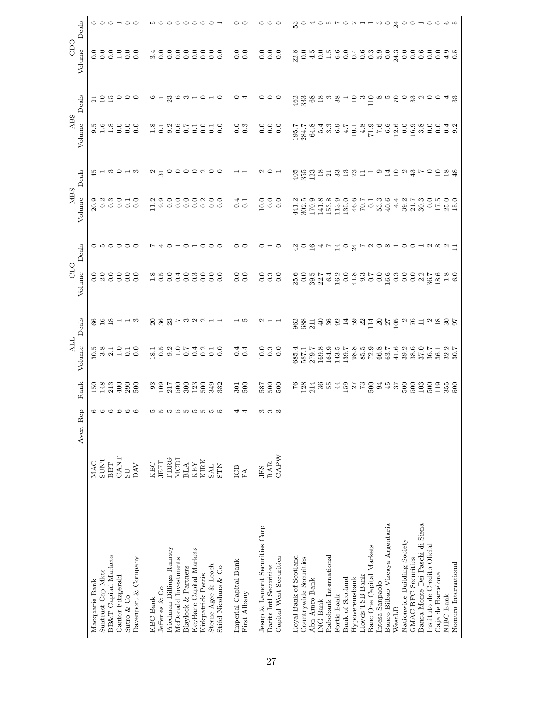|                                 |                          |                      |                                                                                                                | ALL                                               |                 | CLO                                        |                                  | <b>MBS</b>                                                                     |                                              | ABS                                              |                                                                                | CDO              |                                |
|---------------------------------|--------------------------|----------------------|----------------------------------------------------------------------------------------------------------------|---------------------------------------------------|-----------------|--------------------------------------------|----------------------------------|--------------------------------------------------------------------------------|----------------------------------------------|--------------------------------------------------|--------------------------------------------------------------------------------|------------------|--------------------------------|
|                                 |                          | Q,<br>Aver. Re       | Rank                                                                                                           | Volume                                            | Deals           | Volume                                     | Deals                            | Volume                                                                         | Deals                                        | Volume                                           | Deals                                                                          | Volume           | Deals                          |
| Macquarie Bank                  | MAC                      |                      |                                                                                                                |                                                   |                 |                                            |                                  | 20.9                                                                           | 45                                           |                                                  |                                                                                |                  |                                |
| Suntrust Cap Mkts               | <b>SUNT</b>              |                      |                                                                                                                |                                                   | 89.8            |                                            |                                  |                                                                                |                                              |                                                  |                                                                                |                  |                                |
| BB&T Capital Markets            | BBT                      |                      |                                                                                                                |                                                   |                 | 0.000                                      |                                  |                                                                                |                                              |                                                  | 7195                                                                           | 0.000<br>0.000   | 0 0 0 H                        |
| Cantor Fitzgerald               | CANT                     |                      |                                                                                                                |                                                   |                 |                                            |                                  |                                                                                |                                              |                                                  |                                                                                |                  |                                |
| Sutro & Co                      | US                       | 000000               | E3330000                                                                                                       |                                                   |                 | 0.0                                        | $\circ$ $\circ$ $\circ$ $\circ$  | $\begin{array}{c} 2 & 0 & 0 & 0 \\ 0 & 0 & 0 & 0 \\ 0 & 0 & 0 & 0 \end{array}$ |                                              | ng xoo<br>Sidoo                                  | $\circ$ $\circ$                                                                | 0.0              |                                |
| Davenport & Company             | <b>DAV</b>               |                      |                                                                                                                |                                                   |                 | 0.0                                        |                                  |                                                                                | က                                            | 0.0                                              | $\circ$                                                                        | 0.0              |                                |
| KBC Bank                        | KBC                      |                      |                                                                                                                |                                                   |                 |                                            |                                  | 11.2                                                                           |                                              |                                                  |                                                                                |                  |                                |
| Jefferies & Co                  | <b>JEFF</b>              | ro ro ro ro ro ro ro | sensesässä                                                                                                     | $\frac{135}{29}$<br>$\frac{33}{10}$               | នននក            |                                            |                                  | 9.9                                                                            | $\frac{2}{31}$                               | $\begin{array}{c} 2.8 \\ 0.1 \\ 0.2 \end{array}$ |                                                                                | 7000             |                                |
| Friedman Billings Ramsey        | <b>FBRG</b>              |                      |                                                                                                                |                                                   |                 | $\overline{0}$ .                           |                                  |                                                                                | $\circ$                                      |                                                  | 23                                                                             |                  |                                |
|                                 |                          |                      |                                                                                                                |                                                   |                 |                                            |                                  | $\frac{0}{0}$                                                                  |                                              |                                                  |                                                                                |                  |                                |
| McDonald Investments            | <b>MCDI</b>              |                      |                                                                                                                |                                                   |                 |                                            |                                  |                                                                                |                                              | 0.6                                              | ဇ က                                                                            |                  |                                |
| Blaylock & Partners             | <b>BLA</b>               |                      |                                                                                                                | $\sim 7$                                          |                 | $\overline{0}$                             |                                  | 0.0                                                                            |                                              | $\sim$                                           |                                                                                | $\ddot{\circ}$   |                                |
| KeyBanc Capital Markets         | KEY                      |                      |                                                                                                                | 0.4                                               | $\sim$ $\sim$   | $\frac{3}{2}$                              |                                  | 0.0                                                                            |                                              | $\overline{C}$                                   |                                                                                | 0.0              |                                |
| Kirkpatrick Pettis              | KIRK                     |                      |                                                                                                                |                                                   |                 | 0.0                                        |                                  | 0.2                                                                            |                                              | 0.0                                              |                                                                                |                  |                                |
| Sterne Agee & Leach             | <b>SAL</b>               |                      |                                                                                                                | $\begin{array}{c} 1.6 \\ 0.0 \end{array}$         |                 | 0.0                                        |                                  | $_{0.0}^{0.0}$                                                                 | $\circ$ $\circ$ $\circ$                      | $\overline{0.1}$                                 | $\circ$ $\sim$ $\circ$                                                         | $\frac{0}{0}$ .0 |                                |
| Stifel Nicolaus & Co            | <b>STN</b>               |                      |                                                                                                                |                                                   |                 | $\overline{0}$ .                           |                                  |                                                                                |                                              | 0.0                                              |                                                                                |                  |                                |
| Imperial Capital Bank           | ICB                      |                      | $\begin{array}{c} 301 \\ 500 \end{array}$                                                                      |                                                   |                 | 0.0                                        |                                  | 0.4                                                                            |                                              |                                                  |                                                                                |                  |                                |
|                                 |                          |                      |                                                                                                                | 0.4                                               |                 |                                            |                                  |                                                                                |                                              | 0.3                                              | $\circ$ 4                                                                      | 0.0              |                                |
| First Albany                    | $\widetilde{\mathbb{H}}$ |                      |                                                                                                                |                                                   |                 | $\overline{0.0}$                           |                                  | $\overline{0.1}$                                                               |                                              |                                                  |                                                                                |                  |                                |
| Jesup & Lamont Securities Corp  | <b>JES</b>               |                      | $\frac{000}{285}$                                                                                              |                                                   |                 |                                            |                                  | $10.0$                                                                         |                                              |                                                  |                                                                                | 0.0              |                                |
| Barits Intl Securities          | <b>BAR</b>               |                      |                                                                                                                |                                                   |                 |                                            |                                  |                                                                                |                                              |                                                  |                                                                                |                  |                                |
|                                 |                          |                      |                                                                                                                | 0.300                                             |                 | 0. m<br>0. 0. 0<br>0. 0                    |                                  | 0.0                                                                            |                                              | 000<br>000                                       |                                                                                | $\frac{0}{0.0}$  |                                |
| Capital West Securities         | CAPW                     |                      |                                                                                                                |                                                   |                 |                                            |                                  |                                                                                |                                              |                                                  |                                                                                |                  |                                |
| Royal Bank of Scotland          |                          |                      |                                                                                                                |                                                   |                 |                                            | 42                               | 441.2                                                                          |                                              | 195.7<br>284.7                                   |                                                                                |                  |                                |
| Countrywide Securities          |                          |                      |                                                                                                                |                                                   |                 |                                            |                                  |                                                                                |                                              |                                                  |                                                                                |                  |                                |
| Abn Amro Bank                   |                          |                      |                                                                                                                |                                                   |                 |                                            | $\Xi$                            | 302.5<br>170.9                                                                 |                                              |                                                  |                                                                                |                  |                                |
| ING Bank                        |                          |                      |                                                                                                                |                                                   |                 |                                            |                                  | 141.8                                                                          |                                              |                                                  |                                                                                |                  |                                |
| Rabobank International          |                          |                      |                                                                                                                | 685.4<br>587.1<br>59.7<br>169.8<br>143.5<br>139.7 |                 |                                            |                                  | $\begin{array}{c} 153.8 \\ 113.0 \\ 135.0 \end{array}$                         | essa sussusu                                 |                                                  | $\frac{36}{48}$ $\frac{36}{8}$ $\frac{88}{10}$ $\frac{19}{10}$ $\frac{19}{10}$ |                  |                                |
| Fortis Bank                     |                          |                      |                                                                                                                |                                                   |                 |                                            | $\frac{1}{4}$ o                  |                                                                                |                                              |                                                  |                                                                                |                  |                                |
| Bank of Scotland                |                          |                      |                                                                                                                |                                                   |                 |                                            |                                  |                                                                                |                                              |                                                  |                                                                                |                  |                                |
| Hypovereinsbank                 |                          |                      |                                                                                                                | 98.8                                              |                 |                                            |                                  | 46.6                                                                           |                                              |                                                  |                                                                                |                  |                                |
| Lloyds TSB Bank                 |                          |                      |                                                                                                                | 85.5                                              |                 |                                            |                                  | 70.7                                                                           |                                              |                                                  |                                                                                |                  |                                |
| Banc One Capital Markets        |                          |                      |                                                                                                                | 72.9                                              |                 |                                            |                                  |                                                                                |                                              |                                                  |                                                                                |                  |                                |
| Intesa Sanpaolo                 |                          |                      |                                                                                                                | 66.8                                              | 888198819811852 | concrado ambogadood<br>concrado ambogadood | $4 - 9 - 8 - 9$                  | $\begin{array}{c} 0.1 \\ 5.3 \end{array}$                                      | $\circ$                                      |                                                  | $\infty$ n $\mathcal{E}$ $\in$ $\mathcal{S}$ $\cup$                            |                  |                                |
| Banco Bilbao Vizcaya Argentaria |                          |                      |                                                                                                                | 63.7                                              |                 |                                            |                                  | 40.6                                                                           | $\begin{array}{c}\n1 \\ 1 \\ 0\n\end{array}$ |                                                  |                                                                                |                  |                                |
| WestLB                          |                          |                      |                                                                                                                | 41.6                                              |                 |                                            |                                  | 4.4                                                                            |                                              |                                                  |                                                                                |                  |                                |
| Nationwide Building Society     |                          |                      |                                                                                                                | 39.2                                              |                 |                                            |                                  | $39.7$<br>$21.7$<br>$30.3$                                                     |                                              |                                                  |                                                                                | $\ddot{\circ}$   |                                |
| GMAC RFC Securities             |                          |                      |                                                                                                                | 38.6<br>37.0                                      | $\mathcal{C}$   |                                            | $\circ$ $\overline{\phantom{0}}$ |                                                                                | $\frac{3}{4}$                                |                                                  |                                                                                | $rac{0.6}{0.6}$  |                                |
| Banca Monte Dei Paschi di Siena |                          |                      |                                                                                                                |                                                   |                 |                                            |                                  |                                                                                |                                              |                                                  |                                                                                |                  |                                |
| Instituto de Credito Oficial    |                          |                      |                                                                                                                | 36.7<br>36.1                                      |                 | 36.7                                       |                                  |                                                                                |                                              | $\frac{1}{2}$                                    |                                                                                | $\overline{0}$   |                                |
| Caja de Barcelona               |                          |                      | courties de la conseigne de la conseigne de la conseigne de la conseigne de la conseigne de la conseigne de la |                                                   | $\frac{8}{2}$   | 18.6                                       |                                  | $\frac{0.0}{17.5}$                                                             |                                              |                                                  |                                                                                | $\overline{0}$   | 40 <sup>n</sup> rouquo 2000000 |
| NIBC Bank                       |                          |                      |                                                                                                                | $32.7$<br>$30.7$                                  | 35              |                                            |                                  |                                                                                |                                              |                                                  |                                                                                |                  |                                |
| Nomura International            |                          |                      |                                                                                                                |                                                   |                 |                                            |                                  | $\begin{array}{c} 25.0 \\ 15.0 \end{array}$                                    |                                              |                                                  |                                                                                |                  |                                |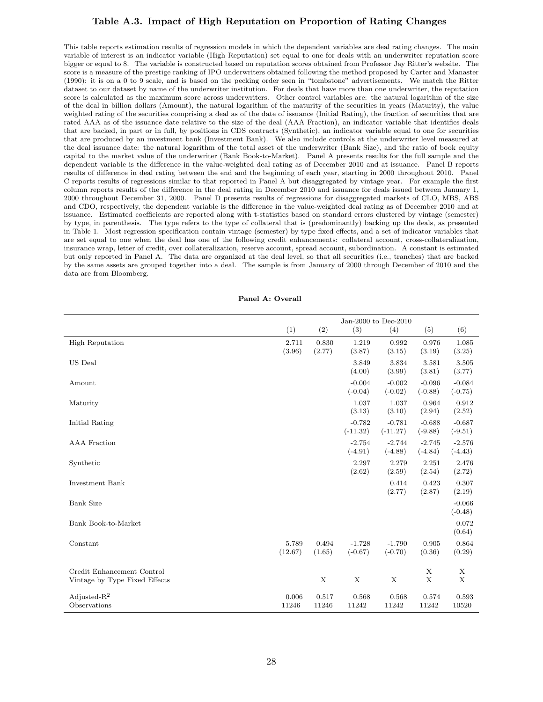### Table A.3. Impact of High Reputation on Proportion of Rating Changes

This table reports estimation results of regression models in which the dependent variables are deal rating changes. The main variable of interest is an indicator variable (High Reputation) set equal to one for deals with an underwriter reputation score bigger or equal to 8. The variable is constructed based on reputation scores obtained from Professor Jay Ritter's website. The score is a measure of the prestige ranking of IPO underwriters obtained following the method proposed by Carter and Manaster (1990): it is on a 0 to 9 scale, and is based on the pecking order seen in "tombstone" advertisements. We match the Ritter dataset to our dataset by name of the underwriter institution. For deals that have more than one underwriter, the reputation score is calculated as the maximum score across underwriters. Other control variables are: the natural logarithm of the size of the deal in billion dollars (Amount), the natural logarithm of the maturity of the securities in years (Maturity), the value weighted rating of the securities comprising a deal as of the date of issuance (Initial Rating), the fraction of securities that are rated AAA as of the issuance date relative to the size of the deal (AAA Fraction), an indicator variable that identifies deals that are backed, in part or in full, by positions in CDS contracts (Synthetic), an indicator variable equal to one for securities that are produced by an investment bank (Investment Bank). We also include controls at the underwriter level measured at the deal issuance date: the natural logarithm of the total asset of the underwriter (Bank Size), and the ratio of book equity capital to the market value of the underwriter (Bank Book-to-Market). Panel A presents results for the full sample and the dependent variable is the difference in the value-weighted deal rating as of December 2010 and at issuance. Panel B reports results of difference in deal rating between the end and the beginning of each year, starting in 2000 throughout 2010. Panel C reports results of regressions similar to that reported in Panel A but disaggregated by vintage year. For example the first column reports results of the difference in the deal rating in December 2010 and issuance for deals issued between January 1, 2000 throughout December 31, 2000. Panel D presents results of regressions for disaggregated markets of CLO, MBS, ABS and CDO, respectively, the dependent variable is the difference in the value-weighted deal rating as of December 2010 and at issuance. Estimated coefficients are reported along with t-statistics based on standard errors clustered by vintage (semester) by type, in parenthesis. The type refers to the type of collateral that is (predominantly) backing up the deals, as presented in Table 1. Most regression specification contain vintage (semester) by type fixed effects, and a set of indicator variables that are set equal to one when the deal has one of the following credit enhancements: collateral account, cross-collateralization, insurance wrap, letter of credit, over collateralization, reserve account, spread account, subordination. A constant is estimated but only reported in Panel A. The data are organized at the deal level, so that all securities (i.e., tranches) that are backed by the same assets are grouped together into a deal. The sample is from January of 2000 through December of 2010 and the data are from Bloomberg.

| Panel A: Overall |  |
|------------------|--|
|------------------|--|

|                                                             |                  |                 |                        | Jan-2000 to Dec-2010   |                       |                       |
|-------------------------------------------------------------|------------------|-----------------|------------------------|------------------------|-----------------------|-----------------------|
|                                                             | (1)              | (2)             | (3)                    | (4)                    | (5)                   | (6)                   |
| <b>High Reputation</b>                                      | 2.711<br>(3.96)  | 0.830<br>(2.77) | 1.219<br>(3.87)        | 0.992<br>(3.15)        | 0.976<br>(3.19)       | 1.085<br>(3.25)       |
| US Deal                                                     |                  |                 | 3.849<br>(4.00)        | 3.834<br>(3.99)        | 3.581<br>(3.81)       | 3.505<br>(3.77)       |
| Amount                                                      |                  |                 | $-0.004$<br>$(-0.04)$  | $-0.002$<br>$(-0.02)$  | $-0.096$<br>$(-0.88)$ | $-0.084$<br>$(-0.75)$ |
| Maturity                                                    |                  |                 | 1.037<br>(3.13)        | 1.037<br>(3.10)        | 0.964<br>(2.94)       | 0.912<br>(2.52)       |
| Initial Rating                                              |                  |                 | $-0.782$<br>$(-11.32)$ | $-0.781$<br>$(-11.27)$ | $-0.688$<br>$(-9.88)$ | $-0.687$<br>$(-9.51)$ |
| <b>AAA</b> Fraction                                         |                  |                 | $-2.754$<br>$(-4.91)$  | $-2.744$<br>$(-4.88)$  | $-2.745$<br>$(-4.84)$ | $-2.576$<br>$(-4.43)$ |
| Synthetic                                                   |                  |                 | 2.297<br>(2.62)        | 2.279<br>(2.59)        | 2.251<br>(2.54)       | 2.476<br>(2.72)       |
| Investment Bank                                             |                  |                 |                        | 0.414<br>(2.77)        | 0.423<br>(2.87)       | 0.307<br>(2.19)       |
| <b>Bank Size</b>                                            |                  |                 |                        |                        |                       | $-0.066$<br>$(-0.48)$ |
| Bank Book-to-Market                                         |                  |                 |                        |                        |                       | 0.072<br>(0.64)       |
| Constant                                                    | 5.789<br>(12.67) | 0.494<br>(1.65) | $-1.728$<br>$(-0.67)$  | $-1.790$<br>$(-0.70)$  | 0.905<br>(0.36)       | 0.864<br>(0.29)       |
| Credit Enhancement Control<br>Vintage by Type Fixed Effects |                  | X               | $\mathbf X$            | $\mathbf X$            | X<br>$\mathbf X$      | X<br>$\mathbf X$      |
| Adjusted- $R^2$<br>Observations                             | 0.006<br>11246   | 0.517<br>11246  | 0.568<br>11242         | 0.568<br>11242         | 0.574<br>11242        | 0.593<br>10520        |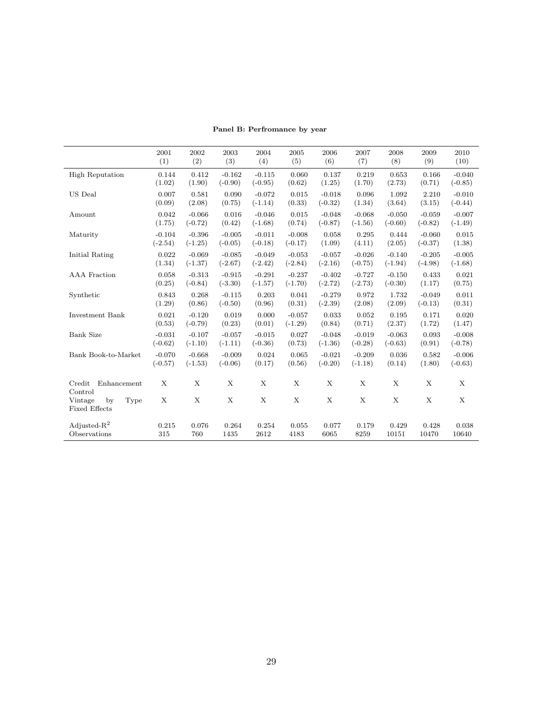|                                               | 2001      | 2002      | 2003      | 2004      | 2005      | 2006      | 2007      | 2008      | 2009      | 2010      |
|-----------------------------------------------|-----------|-----------|-----------|-----------|-----------|-----------|-----------|-----------|-----------|-----------|
|                                               | (1)       | (2)       | (3)       | (4)       | (5)       | (6)       | (7)       | (8)       | (9)       | (10)      |
| <b>High Reputation</b>                        | 0.144     | 0.412     | $-0.162$  | $-0.115$  | 0.060     | 0.137     | 0.219     | 0.653     | 0.166     | $-0.040$  |
|                                               | (1.02)    | (1.90)    | $(-0.90)$ | $(-0.95)$ | (0.62)    | (1.25)    | (1.70)    | (2.73)    | (0.71)    | $(-0.85)$ |
| US Deal                                       | 0.007     | 0.581     | 0.090     | $-0.072$  | 0.015     | $-0.018$  | 0.096     | 1.092     | 2.210     | $-0.010$  |
|                                               | (0.09)    | (2.08)    | (0.75)    | $(-1.14)$ | (0.33)    | $(-0.32)$ | (1.34)    | (3.64)    | (3.15)    | $(-0.44)$ |
| Amount                                        | 0.042     | $-0.066$  | 0.016     | $-0.046$  | 0.015     | $-0.048$  | $-0.068$  | $-0.050$  | $-0.059$  | $-0.007$  |
|                                               | (1.75)    | $(-0.72)$ | (0.42)    | $(-1.68)$ | (0.74)    | $(-0.87)$ | $(-1.56)$ | $(-0.60)$ | $(-0.82)$ | $(-1.49)$ |
| Maturity                                      | $-0.104$  | $-0.396$  | $-0.005$  | $-0.011$  | $-0.008$  | 0.058     | 0.295     | 0.444     | $-0.060$  | 0.015     |
|                                               | $(-2.54)$ | $(-1.25)$ | $(-0.05)$ | $(-0.18)$ | $(-0.17)$ | (1.09)    | (4.11)    | (2.05)    | $(-0.37)$ | (1.38)    |
| Initial Rating                                | 0.022     | $-0.069$  | $-0.085$  | $-0.049$  | $-0.053$  | $-0.057$  | $-0.026$  | $-0.140$  | $-0.205$  | $-0.005$  |
|                                               | (1.34)    | $(-1.37)$ | $(-2.67)$ | $(-2.42)$ | $(-2.84)$ | $(-2.16)$ | $(-0.75)$ | $(-1.94)$ | $(-4.98)$ | $(-1.68)$ |
| AAA Fraction                                  | 0.058     | $-0.313$  | $-0.915$  | $-0.291$  | $-0.237$  | $-0.402$  | $-0.727$  | $-0.150$  | 0.433     | 0.021     |
|                                               | (0.25)    | $(-0.84)$ | $(-3.30)$ | $(-1.57)$ | $(-1.70)$ | $(-2.72)$ | $(-2.73)$ | $(-0.30)$ | (1.17)    | (0.75)    |
| Synthetic                                     | 0.843     | 0.268     | $-0.115$  | 0.203     | 0.041     | $-0.279$  | 0.972     | 1.732     | $-0.049$  | 0.011     |
|                                               | (1.29)    | (0.86)    | $(-0.50)$ | (0.96)    | (0.31)    | $(-2.39)$ | (2.08)    | (2.09)    | $(-0.13)$ | (0.31)    |
| <b>Investment Bank</b>                        | 0.021     | $-0.120$  | 0.019     | 0.000     | $-0.057$  | 0.033     | 0.052     | 0.195     | 0.171     | 0.020     |
|                                               | (0.53)    | $(-0.79)$ | (0.23)    | (0.01)    | $(-1.29)$ | (0.84)    | (0.71)    | (2.37)    | (1.72)    | (1.47)    |
| <b>Bank Size</b>                              | $-0.031$  | $-0.107$  | $-0.057$  | $-0.015$  | 0.027     | $-0.048$  | $-0.019$  | $-0.063$  | 0.093     | $-0.008$  |
|                                               | $(-0.62)$ | $(-1.10)$ | $(-1.11)$ | $(-0.36)$ | (0.73)    | $(-1.36)$ | $(-0.28)$ | $(-0.63)$ | (0.91)    | $(-0.78)$ |
| Bank Book-to-Market                           | $-0.070$  | $-0.668$  | $-0.009$  | 0.024     | 0.065     | $-0.021$  | $-0.209$  | 0.036     | 0.582     | $-0.006$  |
|                                               | $(-0.57)$ | $(-1.53)$ | $(-0.06)$ | (0.17)    | (0.56)    | $(-0.20)$ | $(-1.18)$ | (0.14)    | (1.80)    | $(-0.63)$ |
| Enhancement<br>Credit<br>Control              | X         | X         | X         | X         | X         | X         | X         | X         | X         | X         |
| Type<br>by<br>Vintage<br><b>Fixed Effects</b> | Χ         | X         | X         | X         | X         | X         | X         | X         | X         | X         |
| Adjusted- $R^2$                               | 0.215     | 0.076     | 0.264     | 0.254     | 0.055     | 0.077     | 0.179     | 0.429     | 0.428     | 0.038     |
| Observations                                  | 315       | 760       | 1435      | 2612      | 4183      | 6065      | 8259      | 10151     | 10470     | 10640     |

Panel B: Perfromance by year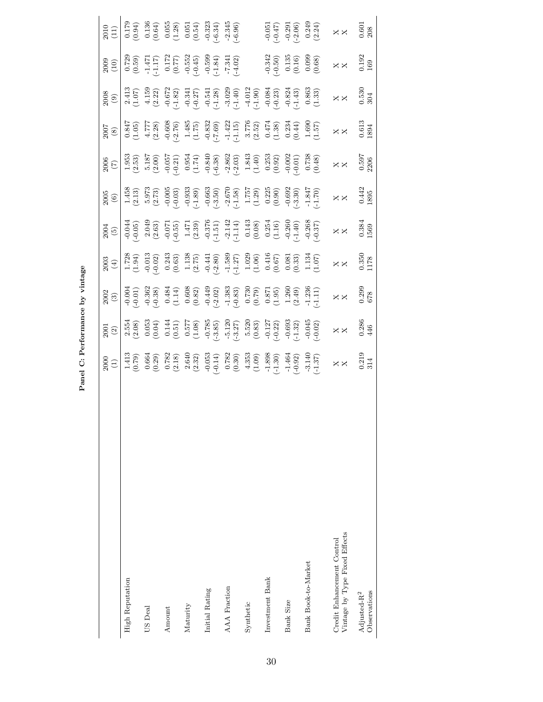|                                                             |                                                                                                                                                                                                                                                                                                                                  |              | $\frac{2002}{(3)}$ |                                                                                                                                                                                                                                                                                                                         | $\frac{2004}{(5)}$                                                                                                                                                                                                                                                         | $\frac{2005}{(6)}$    | $\frac{2006}{(7)}$                                                                                                                                                                                                                                                                          | $^{2007}_{(8)}$                                                                                                                                                                                                                                                                                                                       | $\begin{array}{c} 2008 \\ (9) \end{array}$                                                                                                                                                                                          | $2009$<br>(10)                                                                                                                                                                                                                                                                                        |                                                                                                                                                                                                                                                                                                                                   |
|-------------------------------------------------------------|----------------------------------------------------------------------------------------------------------------------------------------------------------------------------------------------------------------------------------------------------------------------------------------------------------------------------------|--------------|--------------------|-------------------------------------------------------------------------------------------------------------------------------------------------------------------------------------------------------------------------------------------------------------------------------------------------------------------------|----------------------------------------------------------------------------------------------------------------------------------------------------------------------------------------------------------------------------------------------------------------------------|-----------------------|---------------------------------------------------------------------------------------------------------------------------------------------------------------------------------------------------------------------------------------------------------------------------------------------|---------------------------------------------------------------------------------------------------------------------------------------------------------------------------------------------------------------------------------------------------------------------------------------------------------------------------------------|-------------------------------------------------------------------------------------------------------------------------------------------------------------------------------------------------------------------------------------|-------------------------------------------------------------------------------------------------------------------------------------------------------------------------------------------------------------------------------------------------------------------------------------------------------|-----------------------------------------------------------------------------------------------------------------------------------------------------------------------------------------------------------------------------------------------------------------------------------------------------------------------------------|
| High Reputation                                             | $\begin{array}{c cccccc} 2000 \\[-1.2mm] -1.413 \\[-1.2mm] -1.413 \\[-1.2mm] -1.51 \\[-1.2mm] -1.51 \\[-1.2mm] -1.51 \\[-1.2mm] -1.51 \\[-1.2mm] -1.51 \\[-1.2mm] -1.51 \\[-1.2mm] -1.51 \\[-1.2mm] -1.51 \\[-1.2mm] -1.51 \\[-1.2mm] -1.51 \\[-1.2mm] -1.51 \\[-1.2mm] -1.51 \\[-1.2mm] -1.51 \\[-1.2mm] -1.51 \\[-1.2mm] -1.5$ |              |                    | $\begin{array}{r} 2003 \\[-4.0ex] -1.724 \\[-4.0ex] -1.734 \\[-4.0ex] -1.734 \\[-4.0ex] -1.734 \\[-4.0ex] -1.734 \\[-4.0ex] -1.734 \\[-4.0ex] -1.734 \\[-4.0ex] -1.734 \\[-4.0ex] -1.734 \\[-4.0ex] -1.734 \\[-4.0ex] -1.734 \\[-4.0ex] -1.734 \\[-4.0ex] -1.734 \\[-4.0ex] -1.734 \\[-4.0ex] -1.734 \\[-4.0ex] -1.734$ |                                                                                                                                                                                                                                                                            |                       | $[\begin{array}{c} 1.953\\ -1.953\\ 5.187\\ 0.000\\ -1.0000\\ 0.0000\\ -1.0000\\ -1.0000\\ -1.0000\\ -1.0000\\ -1.0000\\ -1.0000\\ -1.0000\\ -1.0000\\ -1.0000\\ -1.0000\\ -1.0000\\ -1.0000\\ -1.0000\\ -1.0000\\ -1.0000\\ -1.0000\\ -1.0000\\ -1.0000\\ -1.0000\\ -1.0000\\ -1.0000\\ -$ |                                                                                                                                                                                                                                                                                                                                       |                                                                                                                                                                                                                                     |                                                                                                                                                                                                                                                                                                       | $\begin{array}{c} 2010 \\ (11) \\ (0.94) \\ (0.95) \\ (0.96) \\ (0.97) \\ (0.98) \\ (0.99) \\ (0.99) \\ (0.99) \\ (0.99) \\ (0.99) \\ (0.99) \\ (0.99) \\ (0.99) \\ (0.99) \\ (0.99) \\ (0.99) \\ (0.99) \\ (0.99) \\ (0.99) \\ (0.99) \\ (0.99) \\ (0.99) \\ (0.99) \\ (0.99) \\ (0.99) \\ (0.99) \\ (0.99) \\ (0.99) \\ (0.99)$ |
| US Deal                                                     |                                                                                                                                                                                                                                                                                                                                  |              |                    |                                                                                                                                                                                                                                                                                                                         | $\begin{array}{cccccc} -0.040 & 0.05 & 0.000 & 0.000 & 0.000 & 0.000 & 0.000 & 0.000 & 0.000 & 0.000 & 0.000 & 0.000 & 0.000 & 0.000 & 0.000 & 0.000 & 0.000 & 0.000 & 0.000 & 0.000 & 0.000 & 0.000 & 0.000 & 0.000 & 0.000 & 0.000 & 0.000 & 0.000 & 0.000 & 0.000 & 0.$ |                       |                                                                                                                                                                                                                                                                                             | $\begin{array}{c} 0.847 \\ 0.105 \\ 1.771 \\ -4.780 \\ -0.608 \\ -0.608 \\ -0.485 \\ -0.332 \\ -0.431 \\ -0.532 \\ -0.532 \\ -0.532 \\ -0.533 \\ -0.533 \\ -0.533 \\ -0.533 \\ -0.533 \\ -0.533 \\ -0.57 \\ -0.57 \\ -0.57 \\ -0.57 \\ -0.57 \\ -0.57 \\ -0.57 \\ -0.57 \\ -0.57 \\ -0.57 \\ -0.57 \\ -0.57 \\ -0.57 \\ -0.57 \\ -0.$ | 419<br>1970: 1980: 1980: 1980: 1980: 1980: 1980: 1980: 1980: 1980: 1980: 1980: 1980: 1980: 1980: 1980: 1980: 1980: 1<br>1980: 1980: 1980: 1980: 1980: 1980: 1980: 1980: 1980: 1980: 1980: 1980: 1980: 1980: 1980: 1980: 1980: 1980: | $\begin{array}{c} (0.729)\\ (0.59)\\ (1.471)\\ (-1.17)\\ (0.71)\\ (0.71)\\ (0.71)\\ (0.71)\\ (0.71)\\ (0.72)\\ (0.73)\\ (0.74)\\ (0.71)\\ (0.72)\\ (0.73)\\ (0.74)\\ (0.71)\\ (0.72)\\ (0.73)\\ (0.74)\\ (0.75)\\ (0.72)\\ (0.73)\\ (0.74)\\ (0.75)\\ (0.77)\\ (0.78)\\ (0.78)\\ (0.79)\\ (0.79)\\ ($ |                                                                                                                                                                                                                                                                                                                                   |
| Amount                                                      |                                                                                                                                                                                                                                                                                                                                  |              |                    |                                                                                                                                                                                                                                                                                                                         |                                                                                                                                                                                                                                                                            |                       |                                                                                                                                                                                                                                                                                             |                                                                                                                                                                                                                                                                                                                                       |                                                                                                                                                                                                                                     |                                                                                                                                                                                                                                                                                                       |                                                                                                                                                                                                                                                                                                                                   |
| Maturity                                                    |                                                                                                                                                                                                                                                                                                                                  |              |                    |                                                                                                                                                                                                                                                                                                                         |                                                                                                                                                                                                                                                                            |                       |                                                                                                                                                                                                                                                                                             |                                                                                                                                                                                                                                                                                                                                       |                                                                                                                                                                                                                                     |                                                                                                                                                                                                                                                                                                       |                                                                                                                                                                                                                                                                                                                                   |
| Initial Rating                                              |                                                                                                                                                                                                                                                                                                                                  |              |                    |                                                                                                                                                                                                                                                                                                                         |                                                                                                                                                                                                                                                                            |                       |                                                                                                                                                                                                                                                                                             |                                                                                                                                                                                                                                                                                                                                       |                                                                                                                                                                                                                                     |                                                                                                                                                                                                                                                                                                       |                                                                                                                                                                                                                                                                                                                                   |
| <b>AAA</b> Fraction                                         |                                                                                                                                                                                                                                                                                                                                  |              |                    |                                                                                                                                                                                                                                                                                                                         |                                                                                                                                                                                                                                                                            |                       |                                                                                                                                                                                                                                                                                             |                                                                                                                                                                                                                                                                                                                                       |                                                                                                                                                                                                                                     |                                                                                                                                                                                                                                                                                                       |                                                                                                                                                                                                                                                                                                                                   |
| Synthetic                                                   |                                                                                                                                                                                                                                                                                                                                  |              |                    |                                                                                                                                                                                                                                                                                                                         |                                                                                                                                                                                                                                                                            |                       |                                                                                                                                                                                                                                                                                             |                                                                                                                                                                                                                                                                                                                                       |                                                                                                                                                                                                                                     |                                                                                                                                                                                                                                                                                                       |                                                                                                                                                                                                                                                                                                                                   |
| Investment Bank                                             |                                                                                                                                                                                                                                                                                                                                  |              |                    |                                                                                                                                                                                                                                                                                                                         |                                                                                                                                                                                                                                                                            |                       |                                                                                                                                                                                                                                                                                             |                                                                                                                                                                                                                                                                                                                                       |                                                                                                                                                                                                                                     | $\begin{array}{r} -0.342 \ (-0.50) \ (-0.50) \ 0.135 \ (0.16) \ 0.0996 \ 0.0098 \end{array}$                                                                                                                                                                                                          |                                                                                                                                                                                                                                                                                                                                   |
| <b>Bank Size</b>                                            |                                                                                                                                                                                                                                                                                                                                  |              |                    |                                                                                                                                                                                                                                                                                                                         |                                                                                                                                                                                                                                                                            |                       |                                                                                                                                                                                                                                                                                             |                                                                                                                                                                                                                                                                                                                                       |                                                                                                                                                                                                                                     |                                                                                                                                                                                                                                                                                                       | $-0.051$<br>$(-0.47)$<br>$-0.291$<br>$-2.06$<br>$-2.24$<br>$0.244$                                                                                                                                                                                                                                                                |
| Bank Book-to-Market                                         |                                                                                                                                                                                                                                                                                                                                  |              |                    |                                                                                                                                                                                                                                                                                                                         |                                                                                                                                                                                                                                                                            |                       |                                                                                                                                                                                                                                                                                             |                                                                                                                                                                                                                                                                                                                                       |                                                                                                                                                                                                                                     |                                                                                                                                                                                                                                                                                                       |                                                                                                                                                                                                                                                                                                                                   |
| Vintage by Type Fixed Effects<br>Credit Enhancement Control | $\times$                                                                                                                                                                                                                                                                                                                         | $\times$     | $\times$           | $\times$                                                                                                                                                                                                                                                                                                                | $\times$                                                                                                                                                                                                                                                                   | $\times$              | $\times$                                                                                                                                                                                                                                                                                    | $\times$                                                                                                                                                                                                                                                                                                                              | $\times$                                                                                                                                                                                                                            | $\times$                                                                                                                                                                                                                                                                                              | $\times$                                                                                                                                                                                                                                                                                                                          |
| Observations<br>Adjusted-R <sup>2</sup>                     | 0.219<br>314                                                                                                                                                                                                                                                                                                                     | 0.286<br>446 | 0.299              | 0.350                                                                                                                                                                                                                                                                                                                   | $0.384$<br>[569                                                                                                                                                                                                                                                            | $\frac{0.442}{0.895}$ | $0.597$<br>2206                                                                                                                                                                                                                                                                             | $\begin{array}{c} 0.613 \\ 1894 \end{array}$                                                                                                                                                                                                                                                                                          | $0.530$<br>$304$                                                                                                                                                                                                                    | $\begin{array}{c} 0.192 \ 169 \end{array}$                                                                                                                                                                                                                                                            | $\frac{0.601}{208}$                                                                                                                                                                                                                                                                                                               |

Panel C: Performance by vintage Panel C: Performance by vintage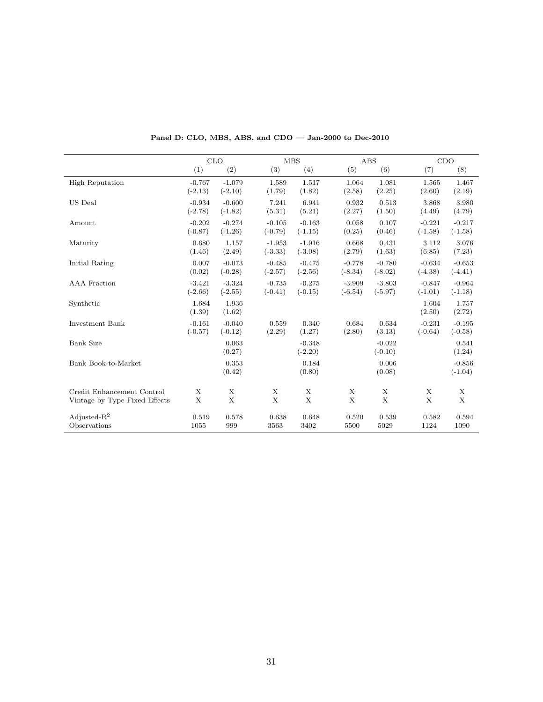|                               |                 | CLO             |           | <b>MBS</b>            |             | ABS                   |                 | CDO                   |
|-------------------------------|-----------------|-----------------|-----------|-----------------------|-------------|-----------------------|-----------------|-----------------------|
|                               | (1)             | (2)             | (3)       | (4)                   | (5)         | (6)                   | (7)             | (8)                   |
| <b>High Reputation</b>        | $-0.767$        | $-1.079$        | 1.589     | 1.517                 | 1.064       | 1.081                 | 1.565           | 1.467                 |
|                               | $(-2.13)$       | $(-2.10)$       | (1.79)    | (1.82)                | (2.58)      | (2.25)                | (2.60)          | (2.19)                |
| US Deal                       | $-0.934$        | $-0.600$        | 7.241     | 6.941                 | 0.932       | 0.513                 | 3.868           | 3.980                 |
|                               | $(-2.78)$       | $(-1.82)$       | (5.31)    | (5.21)                | (2.27)      | (1.50)                | (4.49)          | (4.79)                |
| Amount                        | $-0.202$        | $-0.274$        | $-0.105$  | $-0.163$              | 0.058       | 0.107                 | $-0.221$        | $-0.217$              |
|                               | $(-0.87)$       | $(-1.26)$       | $(-0.79)$ | $(-1.15)$             | (0.25)      | (0.46)                | $(-1.58)$       | $(-1.58)$             |
| Maturity                      | 0.680           | 1.157           | $-1.953$  | $-1.916$              | 0.668       | 0.431                 | 3.112           | 3.076                 |
|                               | (1.46)          | (2.49)          | $(-3.33)$ | $(-3.08)$             | (2.79)      | (1.63)                | (6.85)          | (7.23)                |
| Initial Rating                | 0.007           | $-0.073$        | $-0.485$  | $-0.475$              | $-0.778$    | $-0.780$              | $-0.634$        | $-0.653$              |
|                               | (0.02)          | $(-0.28)$       | $(-2.57)$ | $(-2.56)$             | $(-8.34)$   | $(-8.02)$             | $(-4.38)$       | $(-4.41)$             |
| <b>AAA</b> Fraction           | $-3.421$        | $-3.324$        | $-0.735$  | $-0.275$              | $-3.909$    | $-3.803$              | $-0.847$        | $-0.964$              |
|                               | $(-2.66)$       | $(-2.55)$       | $(-0.41)$ | $(-0.15)$             | $(-6.54)$   | $(-5.97)$             | $(-1.01)$       | $(-1.18)$             |
| Synthetic                     | 1.684<br>(1.39) | 1.936<br>(1.62) |           |                       |             |                       | 1.604<br>(2.50) | 1.757<br>(2.72)       |
| Investment Bank               | $-0.161$        | $-0.040$        | 0.559     | 0.340                 | 0.684       | 0.634                 | $-0.231$        | $-0.195$              |
|                               | $(-0.57)$       | $(-0.12)$       | (2.29)    | (1.27)                | (2.80)      | (3.13)                | $(-0.64)$       | $(-0.58)$             |
| <b>Bank Size</b>              |                 | 0.063<br>(0.27) |           | $-0.348$<br>$(-2.20)$ |             | $-0.022$<br>$(-0.10)$ |                 | 0.541<br>(1.24)       |
| Bank Book-to-Market           |                 | 0.353<br>(0.42) |           | 0.184<br>(0.80)       |             | 0.006<br>(0.08)       |                 | $-0.856$<br>$(-1.04)$ |
| Credit Enhancement Control    | X               | X               | X         | X                     | X           | X                     | X               | X                     |
| Vintage by Type Fixed Effects | X               | X               | X         | X                     | $\mathbf X$ | X                     | X               | X                     |
| Adjusted- $R^2$               | 0.519           | 0.578           | 0.638     | 0.648                 | 0.520       | 0.539                 | 0.582           | 0.594                 |
| Observations                  | 1055            | 999             | 3563      | 3402                  | 5500        | 5029                  | 1124            | 1090                  |

Panel D: CLO, MBS, ABS, and CDO — Jan-2000 to Dec-2010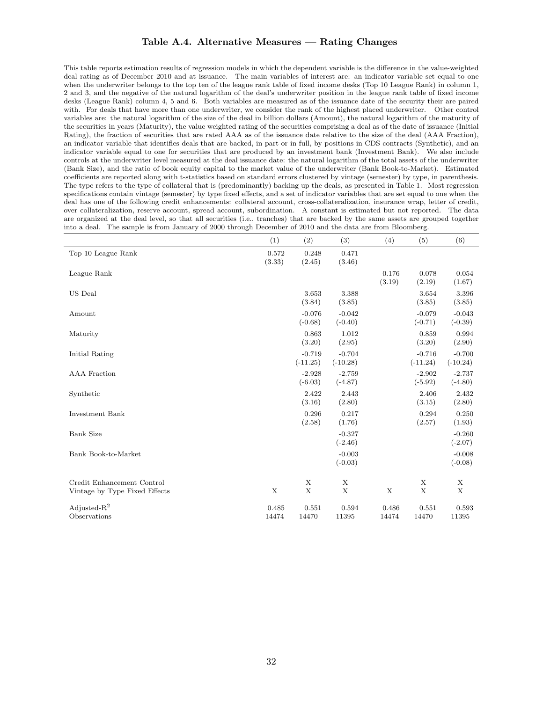### Table A.4. Alternative Measures — Rating Changes

This table reports estimation results of regression models in which the dependent variable is the difference in the value-weighted deal rating as of December 2010 and at issuance. The main variables of interest are: an indicator variable set equal to one when the underwriter belongs to the top ten of the league rank table of fixed income desks (Top 10 League Rank) in column 1, 2 and 3, and the negative of the natural logarithm of the deal's underwriter position in the league rank table of fixed income desks (League Rank) column 4, 5 and 6. Both variables are measured as of the issuance date of the security their are paired with. For deals that have more than one underwriter, we consider the rank of the highest placed underwriter. Other control variables are: the natural logarithm of the size of the deal in billion dollars (Amount), the natural logarithm of the maturity of the securities in years (Maturity), the value weighted rating of the securities comprising a deal as of the date of issuance (Initial Rating), the fraction of securities that are rated AAA as of the issuance date relative to the size of the deal (AAA Fraction), an indicator variable that identifies deals that are backed, in part or in full, by positions in CDS contracts (Synthetic), and an indicator variable equal to one for securities that are produced by an investment bank (Investment Bank). We also include controls at the underwriter level measured at the deal issuance date: the natural logarithm of the total assets of the underwriter (Bank Size), and the ratio of book equity capital to the market value of the underwriter (Bank Book-to-Market). Estimated coefficients are reported along with t-statistics based on standard errors clustered by vintage (semester) by type, in parenthesis. The type refers to the type of collateral that is (predominantly) backing up the deals, as presented in Table 1. Most regression specifications contain vintage (semester) by type fixed effects, and a set of indicator variables that are set equal to one when the deal has one of the following credit enhancements: collateral account, cross-collateralization, insurance wrap, letter of credit, over collateralization, reserve account, spread account, subordination. A constant is estimated but not reported. The data are organized at the deal level, so that all securities (i.e., tranches) that are backed by the same assets are grouped together into a deal. The sample is from January of 2000 through December of 2010 and the data are from Bloomberg.

|                                 | (1)             | (2)                    | (3)                    | (4)             | (5)                    | (6)                    |
|---------------------------------|-----------------|------------------------|------------------------|-----------------|------------------------|------------------------|
| Top 10 League Rank              | 0.572<br>(3.33) | 0.248<br>(2.45)        | 0.471<br>(3.46)        |                 |                        |                        |
| League Rank                     |                 |                        |                        | 0.176<br>(3.19) | 0.078<br>(2.19)        | 0.054<br>(1.67)        |
| US Deal                         |                 | 3.653<br>(3.84)        | 3.388<br>(3.85)        |                 | 3.654<br>(3.85)        | 3.396<br>(3.85)        |
| Amount                          |                 | $-0.076$<br>$(-0.68)$  | $-0.042$<br>$(-0.40)$  |                 | $-0.079$<br>$(-0.71)$  | $-0.043$<br>$(-0.39)$  |
| Maturity                        |                 | 0.863<br>(3.20)        | 1.012<br>(2.95)        |                 | 0.859<br>(3.20)        | 0.994<br>(2.90)        |
| Initial Rating                  |                 | $-0.719$<br>$(-11.25)$ | $-0.704$<br>$(-10.28)$ |                 | $-0.716$<br>$(-11.24)$ | $-0.700$<br>$(-10.24)$ |
| <b>AAA</b> Fraction             |                 | $-2.928$<br>$(-6.03)$  | $-2.759$<br>$(-4.87)$  |                 | $-2.902$<br>$(-5.92)$  | $-2.737$<br>$(-4.80)$  |
| Synthetic                       |                 | 2.422<br>(3.16)        | 2.443<br>(2.80)        |                 | 2.406<br>(3.15)        | 2.432<br>(2.80)        |
| Investment Bank                 |                 | 0.296<br>(2.58)        | 0.217<br>(1.76)        |                 | 0.294<br>(2.57)        | 0.250<br>(1.93)        |
| <b>Bank Size</b>                |                 |                        | $-0.327$<br>$(-2.46)$  |                 |                        | $-0.260$<br>$(-2.07)$  |
| Bank Book-to-Market             |                 |                        | $-0.003$<br>$(-0.03)$  |                 |                        | $-0.008$<br>$(-0.08)$  |
| Credit Enhancement Control      | $\mathbf X$     | X<br>$\mathbf X$       | X<br>$\mathbf X$       | $\mathbf X$     | X<br>$\mathbf X$       | X<br>X                 |
| Vintage by Type Fixed Effects   |                 |                        |                        |                 |                        |                        |
| Adjusted- $R^2$<br>Observations | 0.485<br>14474  | 0.551<br>14470         | 0.594<br>11395         | 0.486<br>14474  | 0.551<br>14470         | 0.593<br>11395         |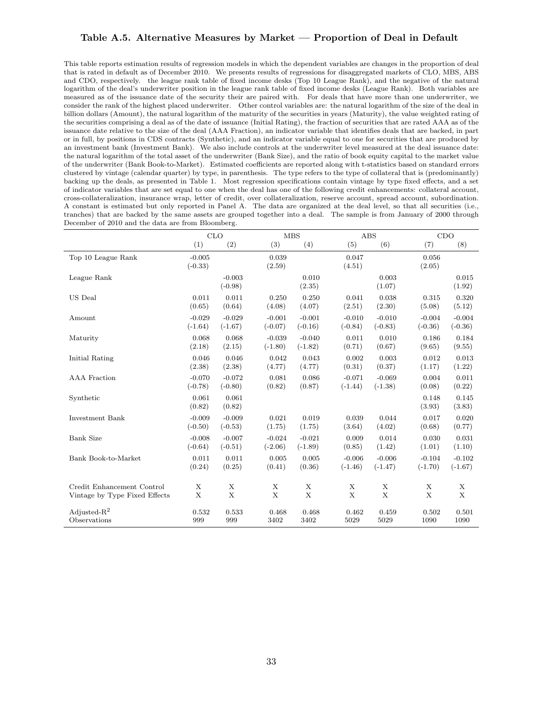### Table A.5. Alternative Measures by Market — Proportion of Deal in Default

This table reports estimation results of regression models in which the dependent variables are changes in the proportion of deal that is rated in default as of December 2010. We presents results of regressions for disaggregated markets of CLO, MBS, ABS and CDO, respectively. the league rank table of fixed income desks (Top 10 League Rank), and the negative of the natural logarithm of the deal's underwriter position in the league rank table of fixed income desks (League Rank). Both variables are measured as of the issuance date of the security their are paired with. For deals that have more than one underwriter, we consider the rank of the highest placed underwriter. Other control variables are: the natural logarithm of the size of the deal in billion dollars (Amount), the natural logarithm of the maturity of the securities in years (Maturity), the value weighted rating of the securities comprising a deal as of the date of issuance (Initial Rating), the fraction of securities that are rated AAA as of the issuance date relative to the size of the deal (AAA Fraction), an indicator variable that identifies deals that are backed, in part or in full, by positions in CDS contracts (Synthetic), and an indicator variable equal to one for securities that are produced by an investment bank (Investment Bank). We also include controls at the underwriter level measured at the deal issuance date: the natural logarithm of the total asset of the underwriter (Bank Size), and the ratio of book equity capital to the market value of the underwriter (Bank Book-to-Market). Estimated coefficients are reported along with t-statistics based on standard errors clustered by vintage (calendar quarter) by type, in parenthesis. The type refers to the type of collateral that is (predominantly) backing up the deals, as presented in Table 1. Most regression specifications contain vintage by type fixed effects, and a set of indicator variables that are set equal to one when the deal has one of the following credit enhancements: collateral account, cross-collateralization, insurance wrap, letter of credit, over collateralization, reserve account, spread account, subordination. A constant is estimated but only reported in Panel A. The data are organized at the deal level, so that all securities (i.e., tranches) that are backed by the same assets are grouped together into a deal. The sample is from January of 2000 through December of 2010 and the data are from Bloomberg.

|                               |                       | CLO                   | <b>MBS</b>      |                 | <b>ABS</b>      |                 |                 | CDO             |
|-------------------------------|-----------------------|-----------------------|-----------------|-----------------|-----------------|-----------------|-----------------|-----------------|
|                               | (1)                   | (2)                   | (3)             | (4)             | (5)             | (6)             | (7)             | (8)             |
| Top 10 League Rank            | $-0.005$<br>$(-0.33)$ |                       | 0.039<br>(2.59) |                 | 0.047<br>(4.51) |                 | 0.056<br>(2.05) |                 |
| League Rank                   |                       | $-0.003$<br>$(-0.98)$ |                 | 0.010<br>(2.35) |                 | 0.003<br>(1.07) |                 | 0.015<br>(1.92) |
| US Deal                       | 0.011                 | 0.011                 | 0.250           | 0.250           | 0.041           | 0.038           | 0.315           | 0.320           |
|                               | (0.65)                | (0.64)                | (4.08)          | (4.07)          | (2.51)          | (2.30)          | (5.08)          | (5.12)          |
| Amount                        | $-0.029$              | $-0.029$              | $-0.001$        | $-0.001$        | $-0.010$        | $-0.010$        | $-0.004$        | $-0.004$        |
|                               | $(-1.64)$             | $(-1.67)$             | $(-0.07)$       | $(-0.16)$       | $(-0.84)$       | $(-0.83)$       | $(-0.36)$       | $(-0.36)$       |
| Maturity                      | 0.068                 | 0.068                 | $-0.039$        | $-0.040$        | 0.011           | 0.010           | 0.186           | 0.184           |
|                               | (2.18)                | (2.15)                | $(-1.80)$       | $(-1.82)$       | (0.71)          | (0.67)          | (9.65)          | (9.55)          |
| Initial Rating                | 0.046                 | 0.046                 | 0.042           | 0.043           | 0.002           | 0.003           | 0.012           | 0.013           |
|                               | (2.38)                | (2.38)                | (4.77)          | (4.77)          | (0.31)          | (0.37)          | (1.17)          | (1.22)          |
| <b>AAA</b> Fraction           | $-0.070$              | $-0.072$              | 0.081           | 0.086           | $-0.071$        | $-0.069$        | 0.004           | 0.011           |
|                               | $(-0.78)$             | $(-0.80)$             | (0.82)          | (0.87)          | $(-1.44)$       | $(-1.38)$       | (0.08)          | (0.22)          |
| Synthetic                     | 0.061<br>(0.82)       | 0.061<br>(0.82)       |                 |                 |                 |                 | 0.148<br>(3.93) | 0.145<br>(3.83) |
| Investment Bank               | $-0.009$              | $-0.009$              | 0.021           | 0.019           | 0.039           | 0.044           | 0.017           | 0.020           |
|                               | $(-0.50)$             | $(-0.53)$             | (1.75)          | (1.75)          | (3.64)          | (4.02)          | (0.68)          | (0.77)          |
| <b>Bank Size</b>              | $-0.008$              | $-0.007$              | $-0.024$        | $-0.021$        | 0.009           | 0.014           | 0.030           | 0.031           |
|                               | $(-0.64)$             | $(-0.51)$             | $(-2.06)$       | $(-1.89)$       | (0.85)          | (1.42)          | (1.01)          | (1.10)          |
| Bank Book-to-Market           | 0.011                 | 0.011                 | 0.005           | 0.005           | $-0.006$        | $-0.006$        | $-0.104$        | $-0.102$        |
|                               | (0.24)                | (0.25)                | (0.41)          | (0.36)          | $(-1.46)$       | $(-1.47)$       | $(-1.70)$       | $(-1.67)$       |
| Credit Enhancement Control    | X                     | X                     | X               | X               | X               | X               | X               | X               |
| Vintage by Type Fixed Effects | X                     | X                     | X               | X               | $\mathbf X$     | X               | X               | X               |
| Adjusted- $R^2$               | 0.532                 | 0.533                 | 0.468           | 0.468           | 0.462           | 0.459           | 0.502           | 0.501           |
| Observations                  | 999                   | 999                   | 3402            | 3402            | 5029            | 5029            | 1090            | 1090            |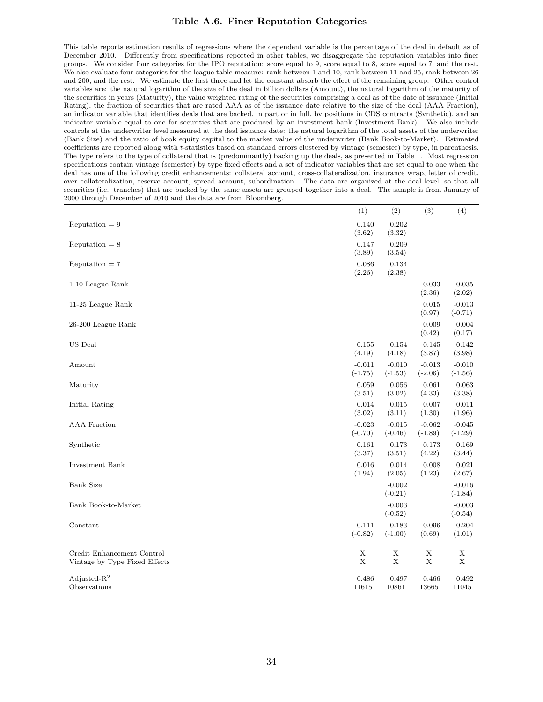### Table A.6. Finer Reputation Categories

This table reports estimation results of regressions where the dependent variable is the percentage of the deal in default as of December 2010. Differently from specifications reported in other tables, we disaggregate the reputation variables into finer groups. We consider four categories for the IPO reputation: score equal to 9, score equal to 8, score equal to 7, and the rest. We also evaluate four categories for the league table measure: rank between 1 and 10, rank between 11 and 25, rank between 26 and 200, and the rest. We estimate the first three and let the constant absorb the effect of the remaining group. Other control variables are: the natural logarithm of the size of the deal in billion dollars (Amount), the natural logarithm of the maturity of the securities in years (Maturity), the value weighted rating of the securities comprising a deal as of the date of issuance (Initial Rating), the fraction of securities that are rated AAA as of the issuance date relative to the size of the deal (AAA Fraction), an indicator variable that identifies deals that are backed, in part or in full, by positions in CDS contracts (Synthetic), and an indicator variable equal to one for securities that are produced by an investment bank (Investment Bank). We also include controls at the underwriter level measured at the deal issuance date: the natural logarithm of the total assets of the underwriter (Bank Size) and the ratio of book equity capital to the market value of the underwriter (Bank Book-to-Market). Estimated coefficients are reported along with t-statistics based on standard errors clustered by vintage (semester) by type, in parenthesis. The type refers to the type of collateral that is (predominantly) backing up the deals, as presented in Table 1. Most regression specifications contain vintage (semester) by type fixed effects and a set of indicator variables that are set equal to one when the deal has one of the following credit enhancements: collateral account, cross-collateralization, insurance wrap, letter of credit, over collateralization, reserve account, spread account, subordination. The data are organized at the deal level, so that all securities (i.e., tranches) that are backed by the same assets are grouped together into a deal. The sample is from January of 2000 through December of 2010 and the data are from Bloomberg.

|                               | (1)             | (2)                   | (3)             | (4)                   |
|-------------------------------|-----------------|-----------------------|-----------------|-----------------------|
| $Reputation = 9$              | 0.140<br>(3.62) | $\rm 0.202$<br>(3.32) |                 |                       |
| $Reputation = 8$              | 0.147<br>(3.89) | 0.209<br>(3.54)       |                 |                       |
| $Reputation = 7$              | 0.086<br>(2.26) | 0.134<br>(2.38)       |                 |                       |
| 1-10 League Rank              |                 |                       | 0.033<br>(2.36) | 0.035<br>(2.02)       |
| 11-25 League Rank             |                 |                       | 0.015<br>(0.97) | $-0.013$<br>$(-0.71)$ |
| 26-200 League Rank            |                 |                       | 0.009<br>(0.42) | 0.004<br>(0.17)       |
| US Deal                       | 0.155           | 0.154                 | 0.145           | 0.142                 |
|                               | (4.19)          | (4.18)                | (3.87)          | (3.98)                |
| Amount                        | $-0.011$        | $-0.010$              | $-0.013$        | $-0.010$              |
|                               | $(-1.75)$       | $(-1.53)$             | $(-2.06)$       | $(-1.56)$             |
| Maturity                      | 0.059           | 0.056                 | 0.061           | 0.063                 |
|                               | (3.51)          | (3.02)                | (4.33)          | (3.38)                |
| Initial Rating                | 0.014           | 0.015                 | 0.007           | 0.011                 |
|                               | (3.02)          | (3.11)                | (1.30)          | (1.96)                |
| AAA Fraction                  | $-0.023$        | $-0.015$              | $-0.062$        | $-0.045$              |
|                               | $(-0.70)$       | $(-0.46)$             | $(-1.89)$       | $(-1.29)$             |
| Synthetic                     | 0.161           | 0.173                 | 0.173           | 0.169                 |
|                               | (3.37)          | (3.51)                | (4.22)          | (3.44)                |
| Investment Bank               | 0.016           | 0.014                 | 0.008           | 0.021                 |
|                               | (1.94)          | (2.05)                | (1.23)          | (2.67)                |
| Bank Size                     |                 | $-0.002$<br>$(-0.21)$ |                 | $-0.016$<br>$(-1.84)$ |
| Bank Book-to-Market           |                 | $-0.003$<br>$(-0.52)$ |                 | $-0.003$<br>$(-0.54)$ |
| Constant                      | $-0.111$        | $-0.183$              | 0.096           | 0.204                 |
|                               | $(-0.82)$       | $(-1.00)$             | (0.69)          | (1.01)                |
| Credit Enhancement Control    | X               | X                     | X               | X                     |
| Vintage by Type Fixed Effects | $\mathbf X$     | $\mathbf X$           | X               | $\mathbf X$           |
| Adjusted- $R^2$               | 0.486           | 0.497                 | 0.466           | 0.492                 |
| Observations                  | 11615           | 10861                 | 13665           | 11045                 |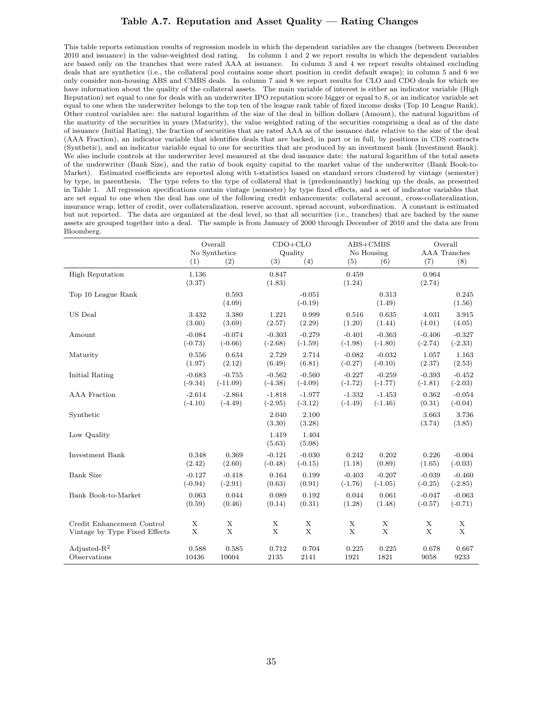### Table A.7. Reputation and Asset Quality — Rating Changes

This table reports estimation results of regression models in which the dependent variables are the changes (between December 2010 and issuance) in the value-weighted deal rating. In column 1 and 2 we report results in which the dependent variables are based only on the tranches that were rated AAA at issuance. In column 3 and 4 we report results obtained excluding deals that are synthetics (i.e., the collateral pool contains some short position in credit default swaps); in column 5 and 6 we only consider non-housing ABS and CMBS deals. In column 7 and 8 we report results for CLO and CDO deals for which we have information about the quality of the collateral assets. The main variable of interest is either an indicator variable (High Reputation) set equal to one for deals with an underwriter IPO reputation score bigger or equal to 8, or an indicator variable set equal to one when the underwriter belongs to the top ten of the league rank table of fixed income desks (Top 10 League Rank). Other control variables are: the natural logarithm of the size of the deal in billion dollars (Amount), the natural logarithm of the maturity of the securities in years (Maturity), the value weighted rating of the securities comprising a deal as of the date of issuance (Initial Rating), the fraction of securities that are rated AAA as of the issuance date relative to the size of the deal (AAA Fraction), an indicator variable that identifies deals that are backed, in part or in full, by positions in CDS contracts (Synthetic), and an indicator variable equal to one for securities that are produced by an investment bank (Investment Bank). We also include controls at the underwriter level measured at the deal issuance date: the natural logarithm of the total assets of the underwriter (Bank Size), and the ratio of book equity capital to the market value of the underwriter (Bank Book-to-Market). Estimated coefficients are reported along with t-statistics based on standard errors clustered by vintage (semester) by type, in parenthesis. The type refers to the type of collateral that is (predominantly) backing up the deals, as presented in Table 1. All regression specifications contain vintage (semester) by type fixed effects, and a set of indicator variables that are set equal to one when the deal has one of the following credit enhancements: collateral account, cross-collateralization, insurance wrap, letter of credit, over collateralization, reserve account, spread account, subordination. A constant is estimated but not reported. The data are organized at the deal level, so that all securities (i.e., tranches) that are backed by the same assets are grouped together into a deal. The sample is from January of 2000 through December of 2010 and the data are from Bloomberg.

|                               |                 | Overall<br>No Synthetics |                 | $CDO+CLO$<br>Quality  | $ABS+CMBS$      | No Housing      |                 | Overall<br><b>AAA</b> Tranches |
|-------------------------------|-----------------|--------------------------|-----------------|-----------------------|-----------------|-----------------|-----------------|--------------------------------|
|                               | (1)             | (2)                      | (3)             | (4)                   | (5)             | (6)             | (7)             | (8)                            |
| <b>High Reputation</b>        | 1.136<br>(3.37) |                          | 0.847<br>(1.83) |                       | 0.459<br>(1.24) |                 | 0.964<br>(2.74) |                                |
| Top 10 League Rank            |                 | 0.593<br>(4.09)          |                 | $-0.051$<br>$(-0.19)$ |                 | 0.313<br>(1.49) |                 | 0.245<br>(1.56)                |
| US Deal                       | 3.432           | 3.380                    | 1.221           | 0.999                 | 0.516           | 0.635           | 4.031           | 3.915                          |
|                               | (3.60)          | (3.69)                   | (2.57)          | (2.29)                | (1.20)          | (1.44)          | (4.01)          | (4.05)                         |
| Amount                        | $-0.084$        | $-0.074$                 | $-0.303$        | $-0.279$              | $-0.401$        | $-0.363$        | $-0.406$        | $-0.327$                       |
|                               | $(-0.73)$       | $(-0.66)$                | $(-2.68)$       | $(-1.59)$             | $(-1.98)$       | $(-1.80)$       | $(-2.74)$       | $(-2.33)$                      |
| Maturity                      | 0.556           | 0.634                    | 2.729           | 2.714                 | $-0.082$        | $-0.032$        | 1.057           | 1.163                          |
|                               | (1.97)          | (2.12)                   | (6.49)          | (6.81)                | $(-0.27)$       | $(-0.10)$       | (2.37)          | (2.53)                         |
| Initial Rating                | $-0.683$        | $-0.755$                 | $-0.562$        | $-0.560$              | $-0.227$        | $-0.259$        | $-0.393$        | $-0.452$                       |
|                               | $(-9.34)$       | $(-11.09)$               | $(-4.38)$       | $(-4.09)$             | $(-1.72)$       | $(-1.77)$       | $(-1.81)$       | $(-2.03)$                      |
| <b>AAA</b> Fraction           | $-2.614$        | $-2.864$                 | $-1.818$        | $-1.977$              | $-1.332$        | $-1.453$        | 0.362           | $-0.054$                       |
|                               | $(-4.10)$       | $(-4.49)$                | $(-2.95)$       | $(-3.12)$             | $(-1.49)$       | $(-1.46)$       | (0.31)          | $(-0.04)$                      |
| Synthetic                     |                 |                          | 2.040<br>(3.30) | 2.100<br>(3.28)       |                 |                 | 3.663<br>(3.74) | 3.736<br>(3.85)                |
| Low Quality                   |                 |                          | 1.419<br>(5.63) | 1.404<br>(5.08)       |                 |                 |                 |                                |
| Investment Bank               | 0.348           | 0.369                    | $-0.121$        | $-0.030$              | 0.242           | 0.202           | 0.226           | $-0.004$                       |
|                               | (2.42)          | (2.60)                   | $(-0.48)$       | $(-0.15)$             | (1.18)          | (0.89)          | (1.65)          | $(-0.03)$                      |
| <b>Bank Size</b>              | $-0.127$        | $-0.418$                 | 0.164           | 0.199                 | $-0.403$        | $-0.207$        | $-0.039$        | $-0.460$                       |
|                               | $(-0.94)$       | $(-2.91)$                | (0.63)          | (0.91)                | $(-1.76)$       | $(-1.05)$       | $(-0.25)$       | $(-2.85)$                      |
| Bank Book-to-Market           | 0.063           | 0.044                    | 0.089           | 0.192                 | 0.044           | 0.061           | $-0.047$        | $-0.063$                       |
|                               | (0.59)          | (0.46)                   | (0.14)          | (0.31)                | (1.28)          | (1.48)          | $(-0.57)$       | $(-0.71)$                      |
| Credit Enhancement Control    | Χ               | Х                        | Х               | Χ                     | Х               | Χ               | Χ               | X                              |
| Vintage by Type Fixed Effects | $\mathbf X$     | $\mathbf X$              | $\mathbf X$     | $\mathbf X$           | $\mathbf X$     | $\mathbf X$     | $\mathbf X$     | $\mathbf X$                    |
| Adjusted- $R^2$               | 0.588           | 0.585                    | 0.712           | 0.704                 | 0.225           | 0.225           | 0.678           | 0.667                          |
| Observations                  | 10436           | 10604                    | 2135            | 2141                  | 1921            | 1821            | 9058            | 9233                           |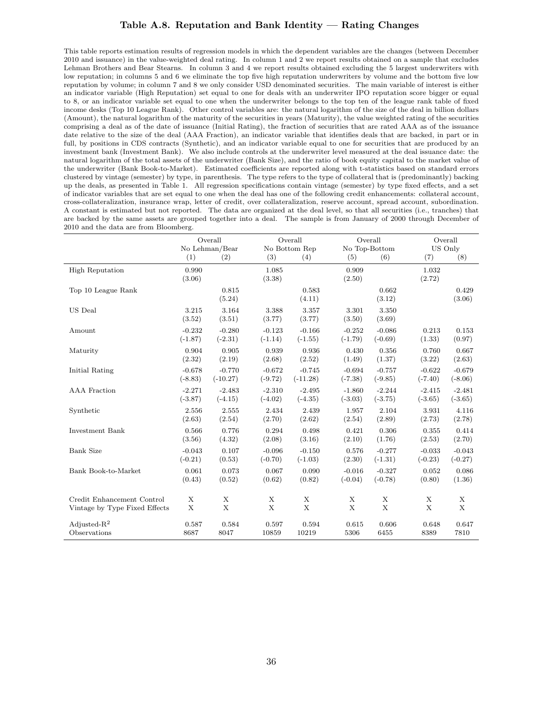### Table A.8. Reputation and Bank Identity — Rating Changes

This table reports estimation results of regression models in which the dependent variables are the changes (between December 2010 and issuance) in the value-weighted deal rating. In column 1 and 2 we report results obtained on a sample that excludes Lehman Brothers and Bear Stearns. In column 3 and 4 we report results obtained excluding the 5 largest underwriters with low reputation; in columns 5 and 6 we eliminate the top five high reputation underwriters by volume and the bottom five low reputation by volume; in column 7 and 8 we only consider USD denominated securities. The main variable of interest is either an indicator variable (High Reputation) set equal to one for deals with an underwriter IPO reputation score bigger or equal to 8, or an indicator variable set equal to one when the underwriter belongs to the top ten of the league rank table of fixed income desks (Top 10 League Rank). Other control variables are: the natural logarithm of the size of the deal in billion dollars (Amount), the natural logarithm of the maturity of the securities in years (Maturity), the value weighted rating of the securities comprising a deal as of the date of issuance (Initial Rating), the fraction of securities that are rated AAA as of the issuance date relative to the size of the deal (AAA Fraction), an indicator variable that identifies deals that are backed, in part or in full, by positions in CDS contracts (Synthetic), and an indicator variable equal to one for securities that are produced by an investment bank (Investment Bank). We also include controls at the underwriter level measured at the deal issuance date: the natural logarithm of the total assets of the underwriter (Bank Size), and the ratio of book equity capital to the market value of the underwriter (Bank Book-to-Market). Estimated coefficients are reported along with t-statistics based on standard errors clustered by vintage (semester) by type, in parenthesis. The type refers to the type of collateral that is (predominantly) backing up the deals, as presented in Table 1. All regression specifications contain vintage (semester) by type fixed effects, and a set of indicator variables that are set equal to one when the deal has one of the following credit enhancements: collateral account, cross-collateralization, insurance wrap, letter of credit, over collateralization, reserve account, spread account, subordination. A constant is estimated but not reported. The data are organized at the deal level, so that all securities (i.e., tranches) that are backed by the same assets are grouped together into a deal. The sample is from January of 2000 through December of 2010 and the data are from Bloomberg.

|                               | Overall<br>No Lehman/Bear |                 |                 | Overall              |                 | Overall<br>No Top-Bottom | Overall<br>US Only |                 |
|-------------------------------|---------------------------|-----------------|-----------------|----------------------|-----------------|--------------------------|--------------------|-----------------|
|                               | (1)                       | (2)             | (3)             | No Bottom Rep<br>(4) | (5)             | (6)                      | (7)                | (8)             |
| <b>High Reputation</b>        | 0.990<br>(3.06)           |                 | 1.085<br>(3.38) |                      | 0.909<br>(2.50) |                          | 1.032<br>(2.72)    |                 |
| Top 10 League Rank            |                           | 0.815<br>(5.24) |                 | 0.583<br>(4.11)      |                 | 0.662<br>(3.12)          |                    | 0.429<br>(3.06) |
| US Deal                       | 3.215<br>(3.52)           | 3.164<br>(3.51) | 3.388<br>(3.77) | 3.357<br>(3.77)      | 3.301<br>(3.50) | 3.350<br>(3.69)          |                    |                 |
| Amount                        | $-0.232$                  | $-0.280$        | $-0.123$        | $-0.166$             | $-0.252$        | $-0.086$                 | 0.213              | 0.153           |
|                               | $(-1.87)$                 | $(-2.31)$       | $(-1.14)$       | $(-1.55)$            | $(-1.79)$       | $(-0.69)$                | (1.33)             | (0.97)          |
| Maturity                      | 0.904                     | 0.905           | 0.939           | 0.936                | 0.430           | 0.356                    | 0.760              | 0.667           |
|                               | (2.32)                    | (2.19)          | (2.68)          | (2.52)               | (1.49)          | (1.37)                   | (3.22)             | (2.63)          |
| Initial Rating                | $-0.678$                  | $-0.770$        | $-0.672$        | $-0.745$             | $-0.694$        | $-0.757$                 | $-0.622$           | $-0.679$        |
|                               | $(-8.83)$                 | $(-10.27)$      | $(-9.72)$       | $(-11.28)$           | $(-7.38)$       | $(-9.85)$                | $(-7.40)$          | $(-8.06)$       |
| AAA Fraction                  | $-2.271$                  | $-2.483$        | $-2.310$        | $-2.495$             | $-1.860$        | $-2.244$                 | $-2.415$           | $-2.481$        |
|                               | $(-3.87)$                 | $(-4.15)$       | $(-4.02)$       | $(-4.35)$            | $(-3.03)$       | $(-3.75)$                | $(-3.65)$          | $(-3.65)$       |
| Synthetic                     | 2.556                     | 2.555           | 2.434           | 2.439                | 1.957           | 2.104                    | 3.931              | 4.116           |
|                               | (2.63)                    | (2.54)          | (2.70)          | (2.62)               | (2.54)          | (2.89)                   | (2.73)             | (2.78)          |
| Investment Bank               | 0.566                     | 0.776           | 0.294           | 0.498                | 0.421           | 0.306                    | 0.355              | 0.414           |
|                               | (3.56)                    | (4.32)          | (2.08)          | (3.16)               | (2.10)          | (1.76)                   | (2.53)             | (2.70)          |
| <b>Bank Size</b>              | $-0.043$                  | 0.107           | $-0.096$        | $-0.150$             | 0.576           | $-0.277$                 | $-0.033$           | $-0.043$        |
|                               | $(-0.21)$                 | (0.53)          | $(-0.70)$       | $(-1.03)$            | (2.30)          | $(-1.31)$                | $(-0.23)$          | $(-0.27)$       |
| Bank Book-to-Market           | 0.061                     | 0.073           | 0.067           | 0.090                | $-0.016$        | $-0.327$                 | 0.052              | 0.086           |
|                               | (0.43)                    | (0.52)          | (0.62)          | (0.82)               | $(-0.04)$       | $(-0.78)$                | (0.80)             | (1.36)          |
| Credit Enhancement Control    | X                         | X               | X               | X                    | X               | X                        | X                  | $\mathbf X$     |
| Vintage by Type Fixed Effects | $\mathbf X$               | X               | $\mathbf X$     | X                    | $\mathbf X$     | $\mathbf X$              | $\mathbf X$        | $\mathbf X$     |
| Adjusted- $R^2$               | 0.587                     | 0.584           | 0.597           | 0.594                | 0.615           | 0.606                    | 0.648              | 0.647           |
| Observations                  | 8687                      | 8047            | 10859           | 10219                | 5306            | 6455                     | 8389               | 7810            |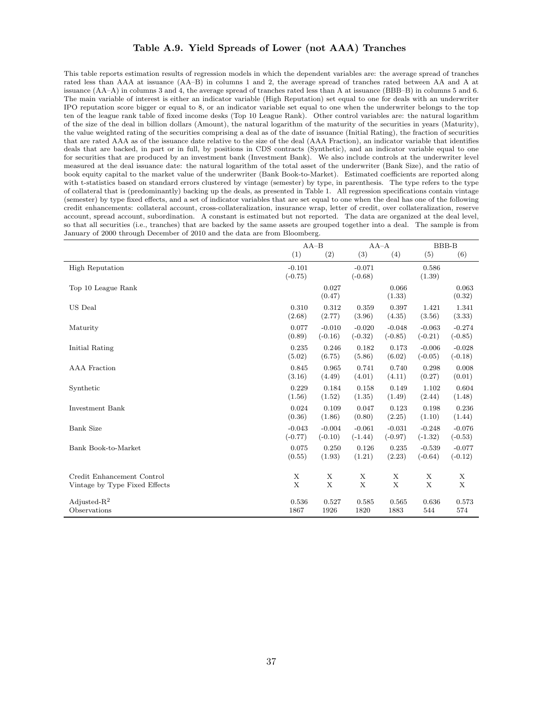### Table A.9. Yield Spreads of Lower (not AAA) Tranches

This table reports estimation results of regression models in which the dependent variables are: the average spread of tranches rated less than AAA at issuance (AA–B) in columns 1 and 2, the average spread of tranches rated between AA and A at issuance (AA–A) in columns 3 and 4, the average spread of tranches rated less than A at issuance (BBB–B) in columns 5 and 6. The main variable of interest is either an indicator variable (High Reputation) set equal to one for deals with an underwriter IPO reputation score bigger or equal to 8, or an indicator variable set equal to one when the underwriter belongs to the top ten of the league rank table of fixed income desks (Top 10 League Rank). Other control variables are: the natural logarithm of the size of the deal in billion dollars (Amount), the natural logarithm of the maturity of the securities in years (Maturity), the value weighted rating of the securities comprising a deal as of the date of issuance (Initial Rating), the fraction of securities that are rated AAA as of the issuance date relative to the size of the deal (AAA Fraction), an indicator variable that identifies deals that are backed, in part or in full, by positions in CDS contracts (Synthetic), and an indicator variable equal to one for securities that are produced by an investment bank (Investment Bank). We also include controls at the underwriter level measured at the deal issuance date: the natural logarithm of the total asset of the underwriter (Bank Size), and the ratio of book equity capital to the market value of the underwriter (Bank Book-to-Market). Estimated coefficients are reported along with t-statistics based on standard errors clustered by vintage (semester) by type, in parenthesis. The type refers to the type of collateral that is (predominantly) backing up the deals, as presented in Table 1. All regression specifications contain vintage (semester) by type fixed effects, and a set of indicator variables that are set equal to one when the deal has one of the following credit enhancements: collateral account, cross-collateralization, insurance wrap, letter of credit, over collateralization, reserve account, spread account, subordination. A constant is estimated but not reported. The data are organized at the deal level, so that all securities (i.e., tranches) that are backed by the same assets are grouped together into a deal. The sample is from January of 2000 through December of 2010 and the data are from Bloomberg.

|                               | $AA-B$                |                 |                       | $AA-A$          |                 | $BBB-B$         |
|-------------------------------|-----------------------|-----------------|-----------------------|-----------------|-----------------|-----------------|
|                               | (1)                   | (2)             | (3)                   | (4)             | (5)             | (6)             |
| <b>High Reputation</b>        | $-0.101$<br>$(-0.75)$ |                 | $-0.071$<br>$(-0.68)$ |                 | 0.586<br>(1.39) |                 |
| Top 10 League Rank            |                       | 0.027<br>(0.47) |                       | 0.066<br>(1.33) |                 | 0.063<br>(0.32) |
| US Deal                       | 0.310                 | 0.312           | 0.359                 | 0.397           | 1.421           | 1.341           |
|                               | (2.68)                | (2.77)          | (3.96)                | (4.35)          | (3.56)          | (3.33)          |
| Maturity                      | 0.077                 | $-0.010$        | $-0.020$              | $-0.048$        | $-0.063$        | $-0.274$        |
|                               | (0.89)                | $(-0.16)$       | $(-0.32)$             | $(-0.85)$       | $(-0.21)$       | $(-0.85)$       |
| Initial Rating                | 0.235                 | 0.246           | 0.182                 | 0.173           | $-0.006$        | $-0.028$        |
|                               | (5.02)                | (6.75)          | (5.86)                | (6.02)          | $(-0.05)$       | $(-0.18)$       |
| AAA Fraction                  | 0.845                 | 0.965           | 0.741                 | 0.740           | 0.298           | 0.008           |
|                               | (3.16)                | (4.49)          | (4.01)                | (4.11)          | (0.27)          | (0.01)          |
| Synthetic                     | 0.229                 | 0.184           | 0.158                 | 0.149           | 1.102           | 0.604           |
|                               | (1.56)                | (1.52)          | (1.35)                | (1.49)          | (2.44)          | (1.48)          |
| Investment Bank               | 0.024                 | 0.109           | 0.047                 | 0.123           | 0.198           | 0.236           |
|                               | (0.36)                | (1.86)          | (0.80)                | (2.25)          | (1.10)          | (1.44)          |
| <b>Bank Size</b>              | $-0.043$              | $-0.004$        | $-0.061$              | $-0.031$        | $-0.248$        | $-0.076$        |
|                               | $(-0.77)$             | $(-0.10)$       | $(-1.44)$             | $(-0.97)$       | $(-1.32)$       | $(-0.53)$       |
| Bank Book-to-Market           | 0.075                 | 0.250           | 0.126                 | 0.235           | $-0.539$        | $-0.077$        |
|                               | (0.55)                | (1.93)          | (1.21)                | (2.23)          | $(-0.64)$       | $(-0.12)$       |
| Credit Enhancement Control    | X                     | X               | X                     | X               | X               | X               |
| Vintage by Type Fixed Effects | $\mathbf X$           | X               | X                     | X               | X               | X               |
| Adjusted- $R^2$               | 0.536                 | 0.527           | 0.585                 | 0.565           | 0.636           | 0.573           |
| Observations                  | 1867                  | 1926            | 1820                  | 1883            | 544             | 574             |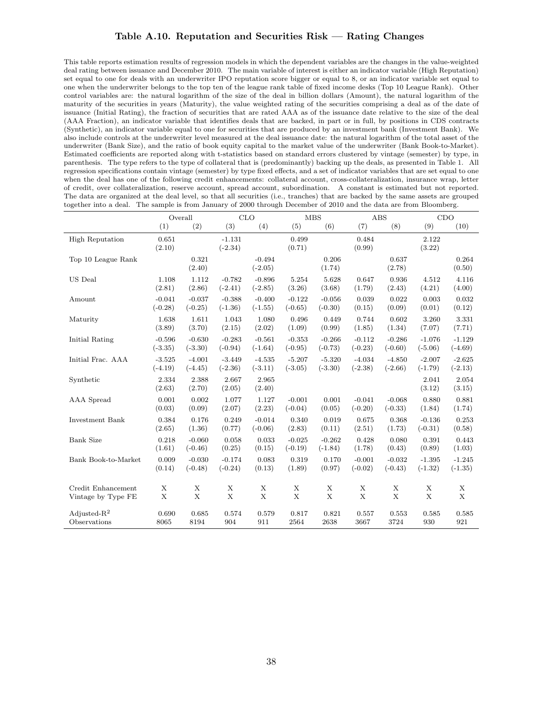### Table A.10. Reputation and Securities Risk — Rating Changes

This table reports estimation results of regression models in which the dependent variables are the changes in the value-weighted deal rating between issuance and December 2010. The main variable of interest is either an indicator variable (High Reputation) set equal to one for deals with an underwriter IPO reputation score bigger or equal to 8, or an indicator variable set equal to one when the underwriter belongs to the top ten of the league rank table of fixed income desks (Top 10 League Rank). Other control variables are: the natural logarithm of the size of the deal in billion dollars (Amount), the natural logarithm of the maturity of the securities in years (Maturity), the value weighted rating of the securities comprising a deal as of the date of issuance (Initial Rating), the fraction of securities that are rated AAA as of the issuance date relative to the size of the deal (AAA Fraction), an indicator variable that identifies deals that are backed, in part or in full, by positions in CDS contracts (Synthetic), an indicator variable equal to one for securities that are produced by an investment bank (Investment Bank). We also include controls at the underwriter level measured at the deal issuance date: the natural logarithm of the total asset of the underwriter (Bank Size), and the ratio of book equity capital to the market value of the underwriter (Bank Book-to-Market). Estimated coefficients are reported along with t-statistics based on standard errors clustered by vintage (semester) by type, in parenthesis. The type refers to the type of collateral that is (predominantly) backing up the deals, as presented in Table 1. All regression specifications contain vintage (semester) by type fixed effects, and a set of indicator variables that are set equal to one when the deal has one of the following credit enhancements: collateral account, cross-collateralization, insurance wrap, letter of credit, over collateralization, reserve account, spread account, subordination. A constant is estimated but not reported. The data are organized at the deal level, so that all securities (i.e., tranches) that are backed by the same assets are grouped together into a deal. The sample is from January of 2000 through December of 2010 and the data are from Bloomberg.

|                        |                 | Overall<br>CLO  |                       | <b>MBS</b>            |                 |                 | ABS             | CDO             |                 |                 |
|------------------------|-----------------|-----------------|-----------------------|-----------------------|-----------------|-----------------|-----------------|-----------------|-----------------|-----------------|
|                        | (1)             | (2)             | (3)                   | (4)                   | (5)             | (6)             | (7)             | (8)             | (9)             | (10)            |
| <b>High Reputation</b> | 0.651<br>(2.10) |                 | $-1.131$<br>$(-2.34)$ |                       | 0.499<br>(0.71) |                 | 0.484<br>(0.99) |                 | 2.122<br>(3.22) |                 |
| Top 10 League Rank     |                 | 0.321<br>(2.40) |                       | $-0.494$<br>$(-2.05)$ |                 | 0.206<br>(1.74) |                 | 0.637<br>(2.78) |                 | 0.264<br>(0.50) |
| US Deal                | 1.108           | 1.112           | $-0.782$              | $-0.896$              | 5.254           | 5.628           | 0.647           | 0.936           | 4.512           | 4.116           |
|                        | (2.81)          | (2.86)          | $(-2.41)$             | $(-2.85)$             | (3.26)          | (3.68)          | (1.79)          | (2.43)          | (4.21)          | (4.00)          |
| Amount                 | $-0.041$        | $-0.037$        | $-0.388$              | $-0.400$              | $-0.122$        | $-0.056$        | 0.039           | 0.022           | 0.003           | 0.032           |
|                        | $(-0.28)$       | $(-0.25)$       | $(-1.36)$             | $(-1.55)$             | $(-0.65)$       | $(-0.30)$       | (0.15)          | (0.09)          | (0.01)          | (0.12)          |
| Maturity               | 1.638           | 1.611           | 1.043                 | 1.080                 | 0.496           | 0.449           | 0.744           | 0.602           | 3.260           | 3.331           |
|                        | (3.89)          | (3.70)          | (2.15)                | (2.02)                | (1.09)          | (0.99)          | (1.85)          | (1.34)          | (7.07)          | (7.71)          |
| Initial Rating         | $-0.596$        | $-0.630$        | $-0.283$              | $-0.561$              | $-0.353$        | $-0.266$        | $-0.112$        | $-0.286$        | $-1.076$        | $-1.129$        |
|                        | $(-3.35)$       | $(-3.30)$       | $(-0.94)$             | $(-1.64)$             | $(-0.95)$       | $(-0.73)$       | $(-0.23)$       | $(-0.60)$       | $(-5.06)$       | $(-4.69)$       |
| Initial Frac. AAA      | $-3.525$        | $-4.001$        | $-3.449$              | $-4.535$              | $-5.207$        | $-5.320$        | $-4.034$        | $-4.850$        | $-2.007$        | $-2.625$        |
|                        | $(-4.19)$       | $(-4.45)$       | $(-2.36)$             | $(-3.11)$             | $(-3.05)$       | $(-3.30)$       | $(-2.38)$       | $(-2.66)$       | $(-1.79)$       | $(-2.13)$       |
| Synthetic              | 2.334<br>(2.63) | 2.388<br>(2.70) | 2.667<br>(2.05)       | 2.965<br>(2.40)       |                 |                 |                 |                 | 2.041<br>(3.12) | 2.054<br>(3.15) |
| AAA Spread             | 0.001           | 0.002           | 1.077                 | 1.127                 | $-0.001$        | 0.001           | $-0.041$        | $-0.068$        | 0.880           | 0.881           |
|                        | (0.03)          | (0.09)          | (2.07)                | (2.23)                | $(-0.04)$       | (0.05)          | $(-0.20)$       | $(-0.33)$       | (1.84)          | (1.74)          |
| Investment Bank        | 0.384           | 0.176           | 0.249                 | $-0.014$              | 0.340           | 0.019           | 0.675           | 0.368           | $-0.136$        | 0.253           |
|                        | (2.65)          | (1.36)          | (0.77)                | $(-0.06)$             | (2.83)          | (0.11)          | (2.51)          | (1.73)          | $(-0.31)$       | (0.58)          |
| <b>Bank Size</b>       | 0.218           | $-0.060$        | 0.058                 | 0.033                 | $-0.025$        | $-0.262$        | 0.428           | 0.080           | 0.391           | 0.443           |
|                        | (1.61)          | $(-0.46)$       | (0.25)                | (0.15)                | $(-0.19)$       | $(-1.84)$       | (1.78)          | (0.43)          | (0.89)          | (1.03)          |
| Bank Book-to-Market    | 0.009           | $-0.030$        | $-0.174$              | 0.083                 | 0.319           | 0.170           | $-0.001$        | $-0.032$        | $-1.395$        | $-1.245$        |
|                        | (0.14)          | $(-0.48)$       | $(-0.24)$             | (0.13)                | (1.89)          | (0.97)          | $(-0.02)$       | $(-0.43)$       | $(-1.32)$       | $(-1.35)$       |
| Credit Enhancement     | Χ               | Χ               | X                     | Χ                     | Χ               | Х               | X               | X               | Х               | X               |
| Vintage by Type FE     | X               | X               | X                     | X                     | X               | X               | X               | X               | X               | X               |
| Adjusted- $R^2$        | 0.690           | 0.685           | 0.574                 | 0.579                 | 0.817           | 0.821           | 0.557           | 0.553           | 0.585           | 0.585           |
| Observations           | 8065            | 8194            | 904                   | 911                   | 2564            | 2638            | 3667            | 3724            | 930             | 921             |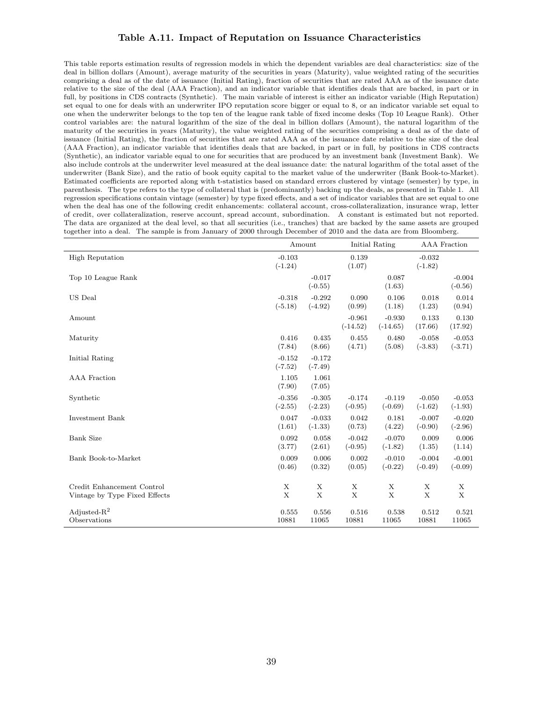### Table A.11. Impact of Reputation on Issuance Characteristics

This table reports estimation results of regression models in which the dependent variables are deal characteristics: size of the deal in billion dollars (Amount), average maturity of the securities in years (Maturity), value weighted rating of the securities comprising a deal as of the date of issuance (Initial Rating), fraction of securities that are rated AAA as of the issuance date relative to the size of the deal (AAA Fraction), and an indicator variable that identifies deals that are backed, in part or in full, by positions in CDS contracts (Synthetic). The main variable of interest is either an indicator variable (High Reputation) set equal to one for deals with an underwriter IPO reputation score bigger or equal to 8, or an indicator variable set equal to one when the underwriter belongs to the top ten of the league rank table of fixed income desks (Top 10 League Rank). Other control variables are: the natural logarithm of the size of the deal in billion dollars (Amount), the natural logarithm of the maturity of the securities in years (Maturity), the value weighted rating of the securities comprising a deal as of the date of issuance (Initial Rating), the fraction of securities that are rated AAA as of the issuance date relative to the size of the deal (AAA Fraction), an indicator variable that identifies deals that are backed, in part or in full, by positions in CDS contracts (Synthetic), an indicator variable equal to one for securities that are produced by an investment bank (Investment Bank). We also include controls at the underwriter level measured at the deal issuance date: the natural logarithm of the total asset of the underwriter (Bank Size), and the ratio of book equity capital to the market value of the underwriter (Bank Book-to-Market). Estimated coefficients are reported along with t-statistics based on standard errors clustered by vintage (semester) by type, in parenthesis. The type refers to the type of collateral that is (predominantly) backing up the deals, as presented in Table 1. All regression specifications contain vintage (semester) by type fixed effects, and a set of indicator variables that are set equal to one when the deal has one of the following credit enhancements: collateral account, cross-collateralization, insurance wrap, letter of credit, over collateralization, reserve account, spread account, subordination. A constant is estimated but not reported. The data are organized at the deal level, so that all securities (i.e., tranches) that are backed by the same assets are grouped together into a deal. The sample is from January of 2000 through December of 2010 and the data are from Bloomberg.

|                               |                       | Amount                    |                        | Initial Rating         | <b>AAA</b> Fraction   |                       |
|-------------------------------|-----------------------|---------------------------|------------------------|------------------------|-----------------------|-----------------------|
| <b>High Reputation</b>        | $-0.103$<br>$(-1.24)$ |                           | 0.139<br>(1.07)        |                        | $-0.032$<br>$(-1.82)$ |                       |
| Top 10 League Rank            |                       | $-0.017$<br>$(-0.55)$     |                        | 0.087<br>(1.63)        |                       | $-0.004$<br>$(-0.56)$ |
| US Deal                       | $-0.318$              | $-0.292$                  | 0.090                  | 0.106                  | 0.018                 | 0.014                 |
|                               | $(-5.18)$             | $(-4.92)$                 | (0.99)                 | (1.18)                 | (1.23)                | (0.94)                |
| Amount                        |                       |                           | $-0.961$<br>$(-14.52)$ | $-0.930$<br>$(-14.65)$ | 0.133<br>(17.66)      | 0.130<br>(17.92)      |
| Maturity                      | 0.416                 | 0.435                     | 0.455                  | 0.480                  | $-0.058$              | $-0.053$              |
|                               | (7.84)                | (8.66)                    | (4.71)                 | (5.08)                 | $(-3.83)$             | $(-3.71)$             |
| Initial Rating                | $-0.152$<br>$(-7.52)$ | $-0.172$<br>$(-7.49)$     |                        |                        |                       |                       |
| <b>AAA</b> Fraction           | 1.105<br>(7.90)       | 1.061<br>(7.05)           |                        |                        |                       |                       |
| Synthetic                     | $-0.356$              | $-0.305$                  | $-0.174$               | $-0.119$               | $-0.050$              | $-0.053$              |
|                               | $(-2.55)$             | $(-2.23)$                 | $(-0.95)$              | $(-0.69)$              | $(-1.62)$             | $(-1.93)$             |
| Investment Bank               | 0.047                 | $-0.033$                  | 0.042                  | 0.181                  | $-0.007$              | $-0.020$              |
|                               | (1.61)                | $(-1.33)$                 | (0.73)                 | (4.22)                 | $(-0.90)$             | $(-2.96)$             |
| <b>Bank Size</b>              | 0.092                 | 0.058                     | $-0.042$               | $-0.070$               | 0.009                 | 0.006                 |
|                               | (3.77)                | (2.61)                    | $(-0.95)$              | $(-1.82)$              | (1.35)                | (1.14)                |
| Bank Book-to-Market           | 0.009                 | 0.006                     | 0.002                  | $-0.010$               | $-0.004$              | $-0.001$              |
|                               | (0.46)                | (0.32)                    | (0.05)                 | $(-0.22)$              | $(-0.49)$             | $(-0.09)$             |
| Credit Enhancement Control    | X                     | Х                         | X                      | X                      | Χ                     | X                     |
| Vintage by Type Fixed Effects | $\mathbf X$           | $\boldsymbol{\mathrm{X}}$ | X                      | X                      | X                     | X                     |
| Adjusted- $R^2$               | 0.555                 | 0.556                     | 0.516                  | 0.538                  | 0.512                 | 0.521                 |
| Observations                  | 10881                 | 11065                     | 10881                  | 11065                  | 10881                 | 11065                 |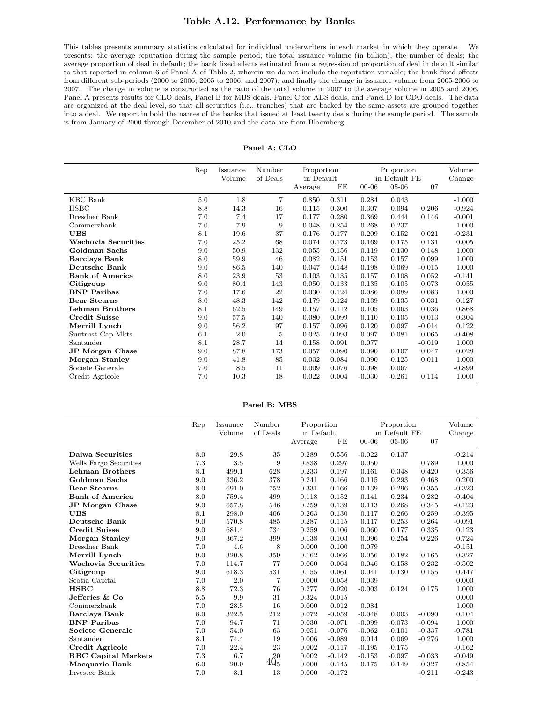### Table A.12. Performance by Banks

This tables presents summary statistics calculated for individual underwriters in each market in which they operate. We presents: the average reputation during the sample period; the total issuance volume (in billion); the number of deals; the average proportion of deal in default; the bank fixed effects estimated from a regression of proportion of deal in default similar to that reported in column 6 of Panel A of Table 2, wherein we do not include the reputation variable; the bank fixed effects from different sub-periods (2000 to 2006, 2005 to 2006, and 2007); and finally the change in issuance volume from 2005-2006 to 2007. The change in volume is constructed as the ratio of the total volume in 2007 to the average volume in 2005 and 2006. Panel A presents results for CLO deals, Panel B for MBS deals, Panel C for ABS deals, and Panel D for CDO deals. The data are organized at the deal level, so that all securities (i.e., tranches) that are backed by the same assets are grouped together into a deal. We report in bold the names of the banks that issued at least twenty deals during the sample period. The sample is from January of 2000 through December of 2010 and the data are from Bloomberg.

### Panel A: CLO

|                            | Rep | Issuance<br>Volume | Number<br>of Deals | Proportion<br>in Default |       | Proportion<br>in Default FE |          |          | Volume<br>Change |
|----------------------------|-----|--------------------|--------------------|--------------------------|-------|-----------------------------|----------|----------|------------------|
|                            |     |                    |                    | Average                  | FE    | $00 - 06$                   | 05-06    | 07       |                  |
| KBC Bank                   | 5.0 | 1.8                | $\overline{7}$     | 0.850                    | 0.311 | 0.284                       | 0.043    |          | $-1.000$         |
| <b>HSBC</b>                | 8.8 | 14.3               | 16                 | 0.115                    | 0.300 | 0.307                       | 0.094    | 0.206    | $-0.924$         |
| Dresdner Bank              | 7.0 | 7.4                | 17                 | 0.177                    | 0.280 | 0.369                       | 0.444    | 0.146    | $-0.001$         |
| Commerzbank                | 7.0 | 7.9                | 9                  | 0.048                    | 0.254 | 0.268                       | 0.237    |          | 1.000            |
| <b>UBS</b>                 | 8.1 | 19.6               | 37                 | 0.176                    | 0.177 | 0.209                       | 0.152    | 0.021    | $-0.231$         |
| <b>Wachovia Securities</b> | 7.0 | 25.2               | 68                 | 0.074                    | 0.173 | 0.169                       | 0.175    | 0.131    | 0.005            |
| Goldman Sachs              | 9.0 | 50.9               | 132                | 0.055                    | 0.156 | 0.119                       | 0.130    | 0.148    | 1.000            |
| <b>Barclays Bank</b>       | 8.0 | 59.9               | 46                 | 0.082                    | 0.151 | 0.153                       | 0.157    | 0.099    | 1.000            |
| Deutsche Bank              | 9.0 | 86.5               | 140                | 0.047                    | 0.148 | 0.198                       | 0.069    | $-0.015$ | 1.000            |
| <b>Bank of America</b>     | 8.0 | 23.9               | 53                 | 0.103                    | 0.135 | 0.157                       | 0.108    | 0.052    | $-0.141$         |
| Citigroup                  | 9.0 | 80.4               | 143                | 0.050                    | 0.133 | 0.135                       | 0.105    | 0.073    | 0.055            |
| <b>BNP</b> Paribas         | 7.0 | 17.6               | 22                 | 0.030                    | 0.124 | 0.086                       | 0.089    | 0.083    | 1.000            |
| <b>Bear Stearns</b>        | 8.0 | 48.3               | 142                | 0.179                    | 0.124 | 0.139                       | 0.135    | 0.031    | 0.127            |
| Lehman Brothers            | 8.1 | 62.5               | 149                | 0.157                    | 0.112 | 0.105                       | 0.063    | 0.036    | 0.868            |
| <b>Credit Suisse</b>       | 9.0 | 57.5               | 140                | 0.080                    | 0.099 | 0.110                       | 0.105    | 0.013    | 0.304            |
| Merrill Lynch              | 9.0 | 56.2               | 97                 | 0.157                    | 0.096 | 0.120                       | 0.097    | $-0.014$ | 0.122            |
| Suntrust Cap Mkts          | 6.1 | 2.0                | 5                  | 0.025                    | 0.093 | 0.097                       | 0.081    | 0.065    | $-0.408$         |
| Santander                  | 8.1 | 28.7               | 14                 | 0.158                    | 0.091 | 0.077                       |          | $-0.019$ | 1.000            |
| <b>JP</b> Morgan Chase     | 9.0 | 87.8               | 173                | 0.057                    | 0.090 | 0.090                       | 0.107    | 0.047    | 0.028            |
| Morgan Stanley             | 9.0 | 41.8               | 85                 | 0.032                    | 0.084 | 0.090                       | 0.125    | 0.011    | 1.000            |
| Societe Generale           | 7.0 | 8.5                | 11                 | 0.009                    | 0.076 | 0.098                       | 0.067    |          | $-0.899$         |
| Credit Agricole            | 7.0 | 10.3               | 18                 | 0.022                    | 0.004 | $-0.030$                    | $-0.261$ | 0.114    | 1.000            |

### Panel B: MBS

|                            | Rep | Issuance<br>Volume | Number<br>of Deals          | Proportion<br>in Default |          | Proportion<br>in Default FE |           |          | Volume<br>Change |
|----------------------------|-----|--------------------|-----------------------------|--------------------------|----------|-----------------------------|-----------|----------|------------------|
|                            |     |                    |                             | Average                  | FE       | $00 - 06$                   | $05 - 06$ | 07       |                  |
| Daiwa Securities           | 8.0 | 29.8               | 35                          | 0.289                    | 0.556    | $-0.022$                    | 0.137     |          | $-0.214$         |
| Wells Fargo Securities     | 7.3 | 3.5                | 9                           | 0.838                    | 0.297    | 0.050                       |           | 0.789    | 1.000            |
| Lehman Brothers            | 8.1 | 499.1              | 628                         | 0.233                    | 0.197    | 0.161                       | 0.348     | 0.420    | 0.356            |
| <b>Goldman Sachs</b>       | 9.0 | 336.2              | 378                         | 0.241                    | 0.166    | 0.115                       | 0.293     | 0.468    | 0.200            |
| <b>Bear Stearns</b>        | 8.0 | 691.0              | 752                         | 0.331                    | 0.166    | 0.139                       | 0.296     | 0.355    | $-0.323$         |
| <b>Bank of America</b>     | 8.0 | 759.4              | 499                         | 0.118                    | 0.152    | 0.141                       | 0.234     | 0.282    | $-0.404$         |
| JP Morgan Chase            | 9.0 | 657.8              | 546                         | 0.259                    | 0.139    | 0.113                       | 0.268     | 0.345    | $-0.123$         |
| <b>UBS</b>                 | 8.1 | 298.0              | 406                         | 0.263                    | 0.130    | 0.117                       | 0.266     | 0.259    | $-0.395$         |
| Deutsche Bank              | 9.0 | 570.8              | 485                         | 0.287                    | 0.115    | 0.117                       | 0.253     | 0.264    | $-0.091$         |
| <b>Credit Suisse</b>       | 9.0 | 681.4              | 734                         | 0.259                    | 0.106    | 0.060                       | 0.177     | 0.335    | 0.123            |
| Morgan Stanley             | 9.0 | 367.2              | 399                         | 0.138                    | 0.103    | 0.096                       | 0.254     | 0.226    | 0.724            |
| Dresdner Bank              | 7.0 | 4.6                | 8                           | 0.000                    | 0.100    | 0.079                       |           |          | $-0.151$         |
| Merrill Lynch              | 9.0 | 320.8              | 359                         | 0.162                    | 0.066    | 0.056                       | 0.182     | 0.165    | 0.327            |
| <b>Wachovia Securities</b> | 7.0 | 114.7              | 77                          | 0.060                    | 0.064    | 0.046                       | 0.158     | 0.232    | $-0.502$         |
| Citigroup                  | 9.0 | 618.3              | 531                         | 0.155                    | 0.061    | 0.041                       | 0.130     | 0.155    | 0.447            |
| Scotia Capital             | 7.0 | 2.0                | $\overline{7}$              | 0.000                    | 0.058    | 0.039                       |           |          | 0.000            |
| <b>HSBC</b>                | 8.8 | 72.3               | 76                          | 0.277                    | 0.020    | $-0.003$                    | 0.124     | 0.175    | 1.000            |
| Jefferies & Co             | 5.5 | 9.9                | 31                          | 0.324                    | 0.015    |                             |           |          | 0.000            |
| Commerzbank                | 7.0 | 28.5               | 16                          | 0.000                    | 0.012    | 0.084                       |           |          | 1.000            |
| <b>Barclays Bank</b>       | 8.0 | 322.5              | 212                         | 0.072                    | $-0.059$ | $-0.048$                    | 0.003     | $-0.090$ | 0.104            |
| <b>BNP</b> Paribas         | 7.0 | 94.7               | 71                          | 0.030                    | $-0.071$ | $-0.099$                    | $-0.073$  | $-0.094$ | 1.000            |
| Societe Generale           | 7.0 | 54.0               | 63                          | 0.051                    | $-0.076$ | $-0.062$                    | $-0.101$  | $-0.337$ | $-0.781$         |
| Santander                  | 8.1 | 74.4               | 19                          | 0.006                    | $-0.089$ | 0.014                       | 0.069     | $-0.276$ | 1.000            |
| Credit Agricole            | 7.0 | 22.4               | 23                          | 0.002                    | $-0.117$ | $-0.195$                    | $-0.175$  |          | $-0.162$         |
| <b>RBC</b> Capital Markets | 7.3 | 6.7                | $4\overset{20}{\text{Q}_5}$ | 0.002                    | $-0.142$ | $-0.153$                    | $-0.097$  | $-0.033$ | $-0.049$         |
| Macquarie Bank             | 6.0 | 20.9               |                             | 0.000                    | $-0.145$ | $-0.175$                    | $-0.149$  | $-0.327$ | $-0.854$         |
| Investec Bank              | 7.0 | 3.1                | 13                          | 0.000                    | $-0.172$ |                             |           | $-0.211$ | $-0.243$         |